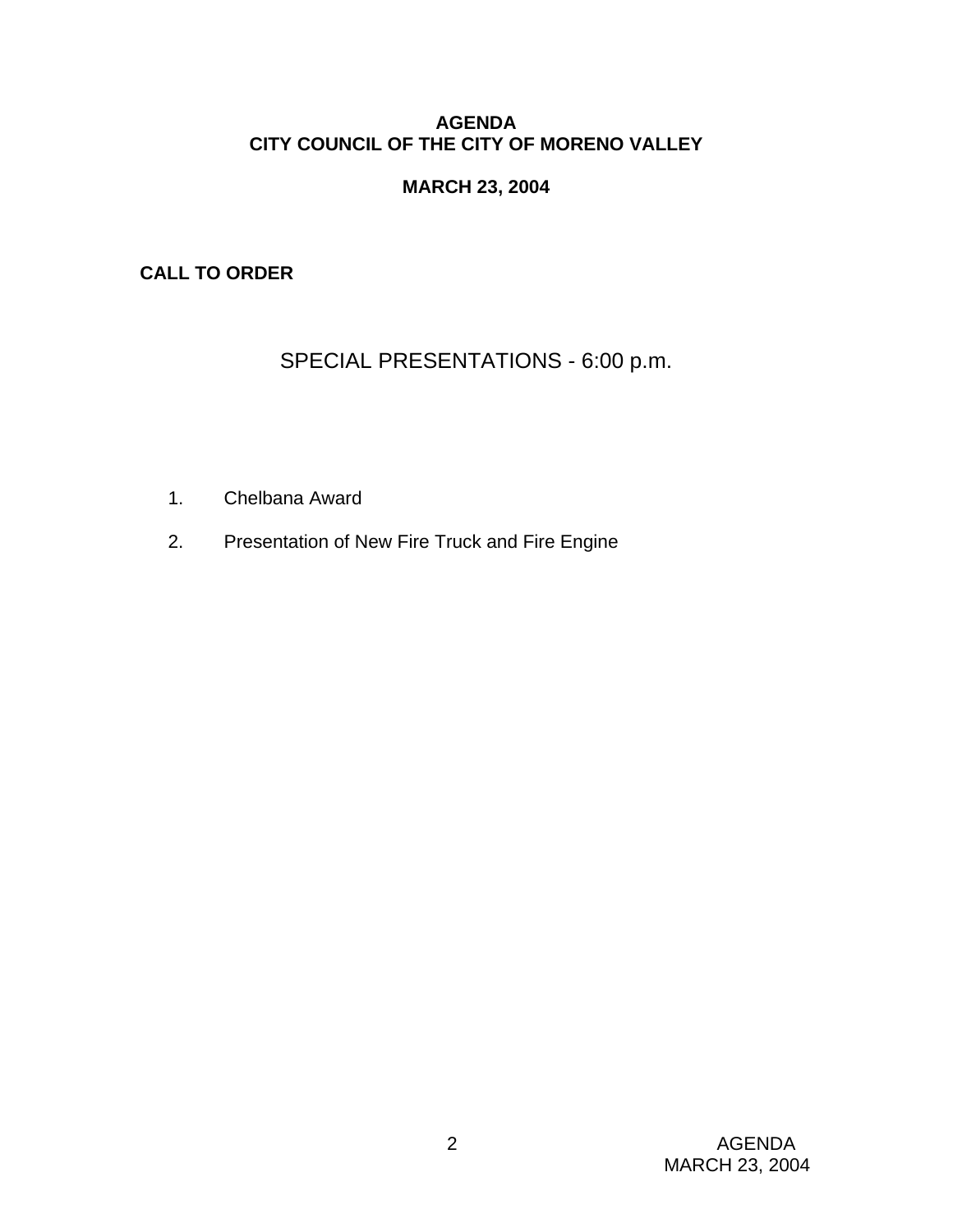# **AGENDA CITY COUNCIL OF THE CITY OF MORENO VALLEY**

# **MARCH 23, 2004**

**CALL TO ORDER** 

SPECIAL PRESENTATIONS - 6:00 p.m.

- 1. Chelbana Award
- 2. Presentation of New Fire Truck and Fire Engine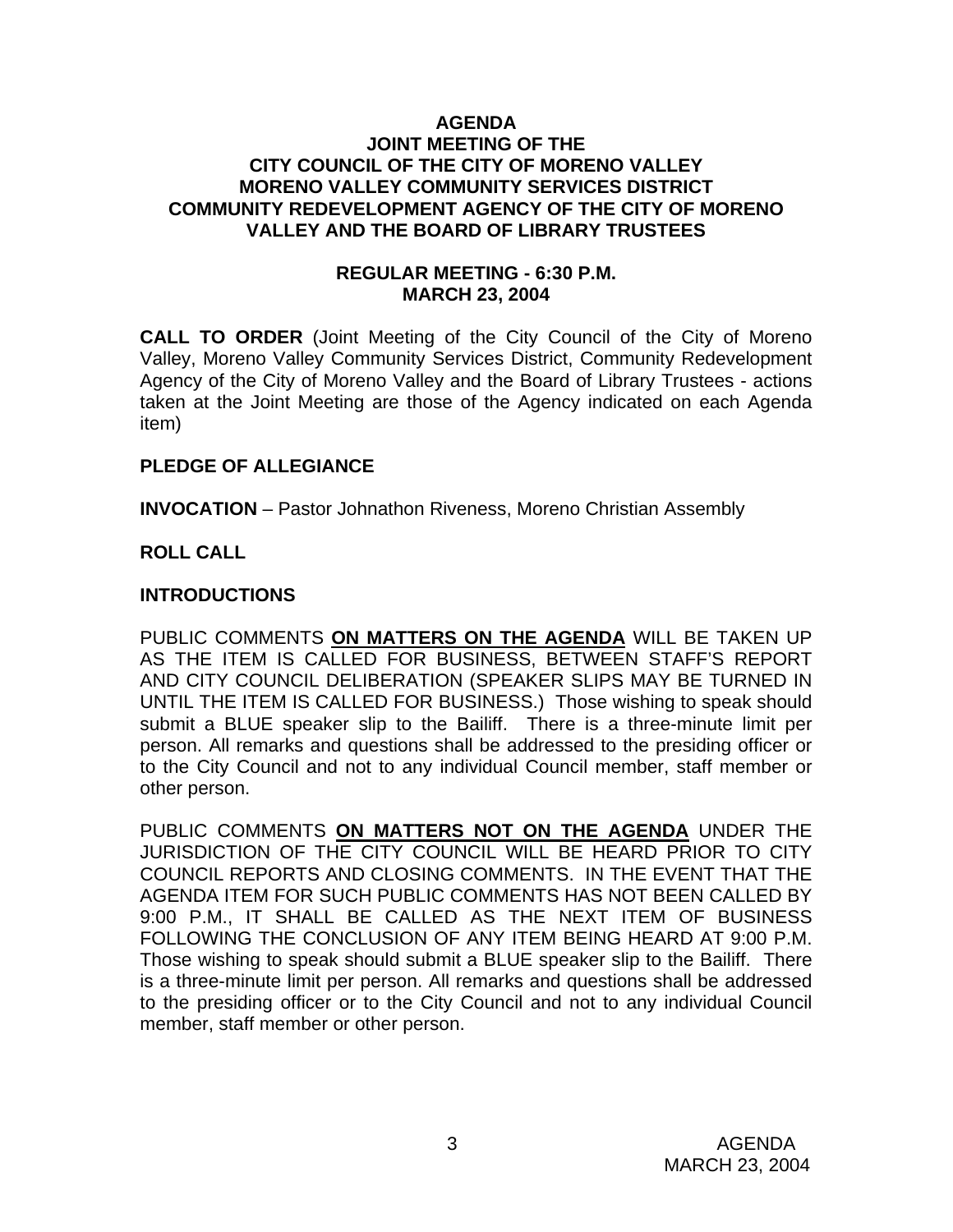#### **AGENDA JOINT MEETING OF THE CITY COUNCIL OF THE CITY OF MORENO VALLEY MORENO VALLEY COMMUNITY SERVICES DISTRICT COMMUNITY REDEVELOPMENT AGENCY OF THE CITY OF MORENO VALLEY AND THE BOARD OF LIBRARY TRUSTEES**

### **REGULAR MEETING - 6:30 P.M. MARCH 23, 2004**

**CALL TO ORDER** (Joint Meeting of the City Council of the City of Moreno Valley, Moreno Valley Community Services District, Community Redevelopment Agency of the City of Moreno Valley and the Board of Library Trustees - actions taken at the Joint Meeting are those of the Agency indicated on each Agenda item)

### **PLEDGE OF ALLEGIANCE**

**INVOCATION** – Pastor Johnathon Riveness, Moreno Christian Assembly

# **ROLL CALL**

#### **INTRODUCTIONS**

PUBLIC COMMENTS **ON MATTERS ON THE AGENDA** WILL BE TAKEN UP AS THE ITEM IS CALLED FOR BUSINESS, BETWEEN STAFF'S REPORT AND CITY COUNCIL DELIBERATION (SPEAKER SLIPS MAY BE TURNED IN UNTIL THE ITEM IS CALLED FOR BUSINESS.) Those wishing to speak should submit a BLUE speaker slip to the Bailiff. There is a three-minute limit per person. All remarks and questions shall be addressed to the presiding officer or to the City Council and not to any individual Council member, staff member or other person.

PUBLIC COMMENTS **ON MATTERS NOT ON THE AGENDA** UNDER THE JURISDICTION OF THE CITY COUNCIL WILL BE HEARD PRIOR TO CITY COUNCIL REPORTS AND CLOSING COMMENTS. IN THE EVENT THAT THE AGENDA ITEM FOR SUCH PUBLIC COMMENTS HAS NOT BEEN CALLED BY 9:00 P.M., IT SHALL BE CALLED AS THE NEXT ITEM OF BUSINESS FOLLOWING THE CONCLUSION OF ANY ITEM BEING HEARD AT 9:00 P.M. Those wishing to speak should submit a BLUE speaker slip to the Bailiff. There is a three-minute limit per person. All remarks and questions shall be addressed to the presiding officer or to the City Council and not to any individual Council member, staff member or other person.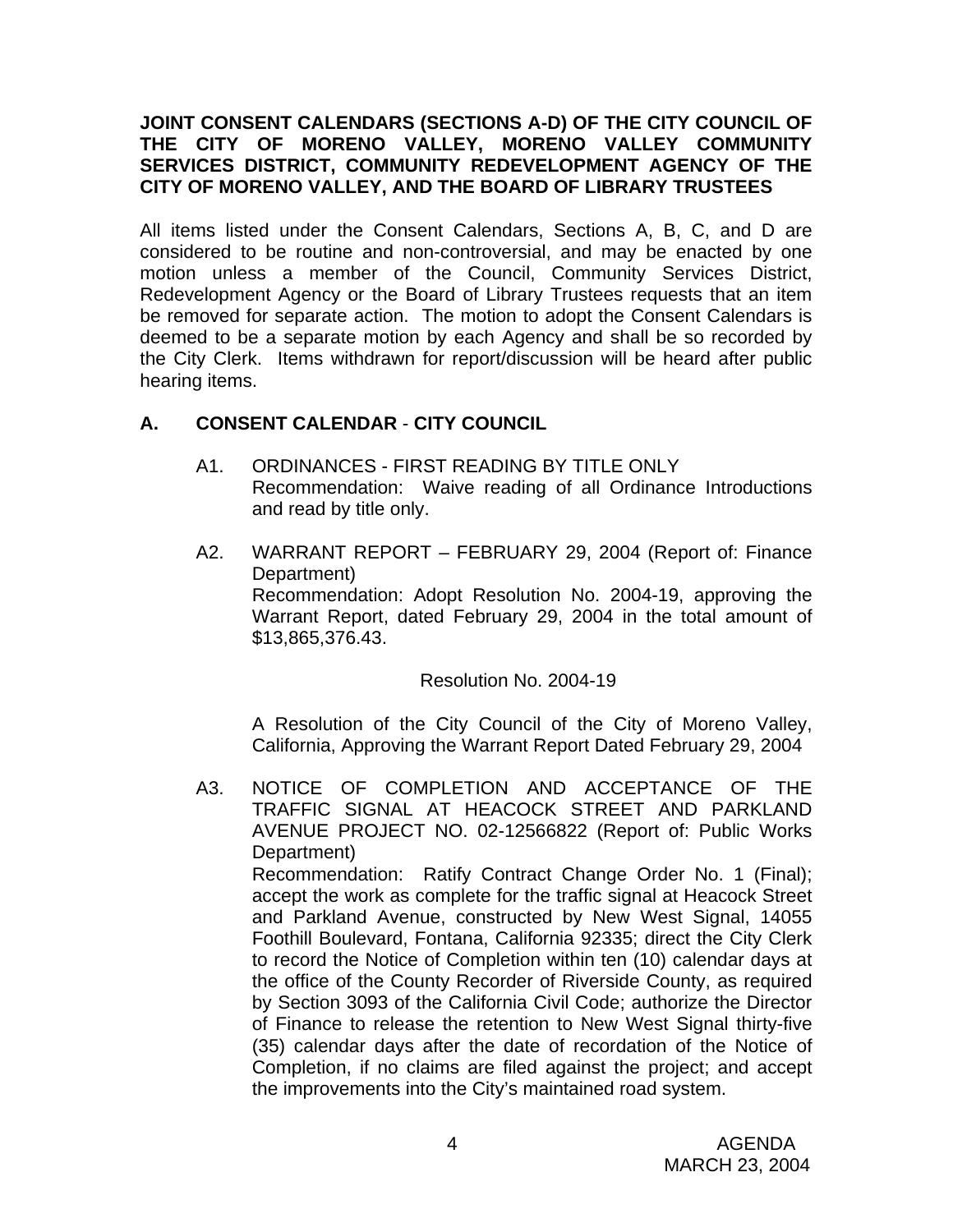## **JOINT CONSENT CALENDARS (SECTIONS A-D) OF THE CITY COUNCIL OF THE CITY OF MORENO VALLEY, MORENO VALLEY COMMUNITY SERVICES DISTRICT, COMMUNITY REDEVELOPMENT AGENCY OF THE CITY OF MORENO VALLEY, AND THE BOARD OF LIBRARY TRUSTEES**

All items listed under the Consent Calendars, Sections A, B, C, and D are considered to be routine and non-controversial, and may be enacted by one motion unless a member of the Council, Community Services District, Redevelopment Agency or the Board of Library Trustees requests that an item be removed for separate action. The motion to adopt the Consent Calendars is deemed to be a separate motion by each Agency and shall be so recorded by the City Clerk. Items withdrawn for report/discussion will be heard after public hearing items.

# **A. CONSENT CALENDAR** - **CITY COUNCIL**

- A1. ORDINANCES FIRST READING BY TITLE ONLY Recommendation: Waive reading of all Ordinance Introductions and read by title only.
- A2. WARRANT REPORT FEBRUARY 29, 2004 (Report of: Finance Department) Recommendation: Adopt Resolution No. 2004-19, approving the Warrant Report, dated February 29, 2004 in the total amount of \$13,865,376.43.

Resolution No. 2004-19

 A Resolution of the City Council of the City of Moreno Valley, California, Approving the Warrant Report Dated February 29, 2004

A3. NOTICE OF COMPLETION AND ACCEPTANCE OF THE TRAFFIC SIGNAL AT HEACOCK STREET AND PARKLAND AVENUE PROJECT NO. 02-12566822 (Report of: Public Works Department) Recommendation: Ratify Contract Change Order No. 1 (Final); accept the work as complete for the traffic signal at Heacock Street and Parkland Avenue, constructed by New West Signal, 14055 Foothill Boulevard, Fontana, California 92335; direct the City Clerk to record the Notice of Completion within ten (10) calendar days at the office of the County Recorder of Riverside County, as required by Section 3093 of the California Civil Code; authorize the Director of Finance to release the retention to New West Signal thirty-five (35) calendar days after the date of recordation of the Notice of Completion, if no claims are filed against the project; and accept the improvements into the City's maintained road system.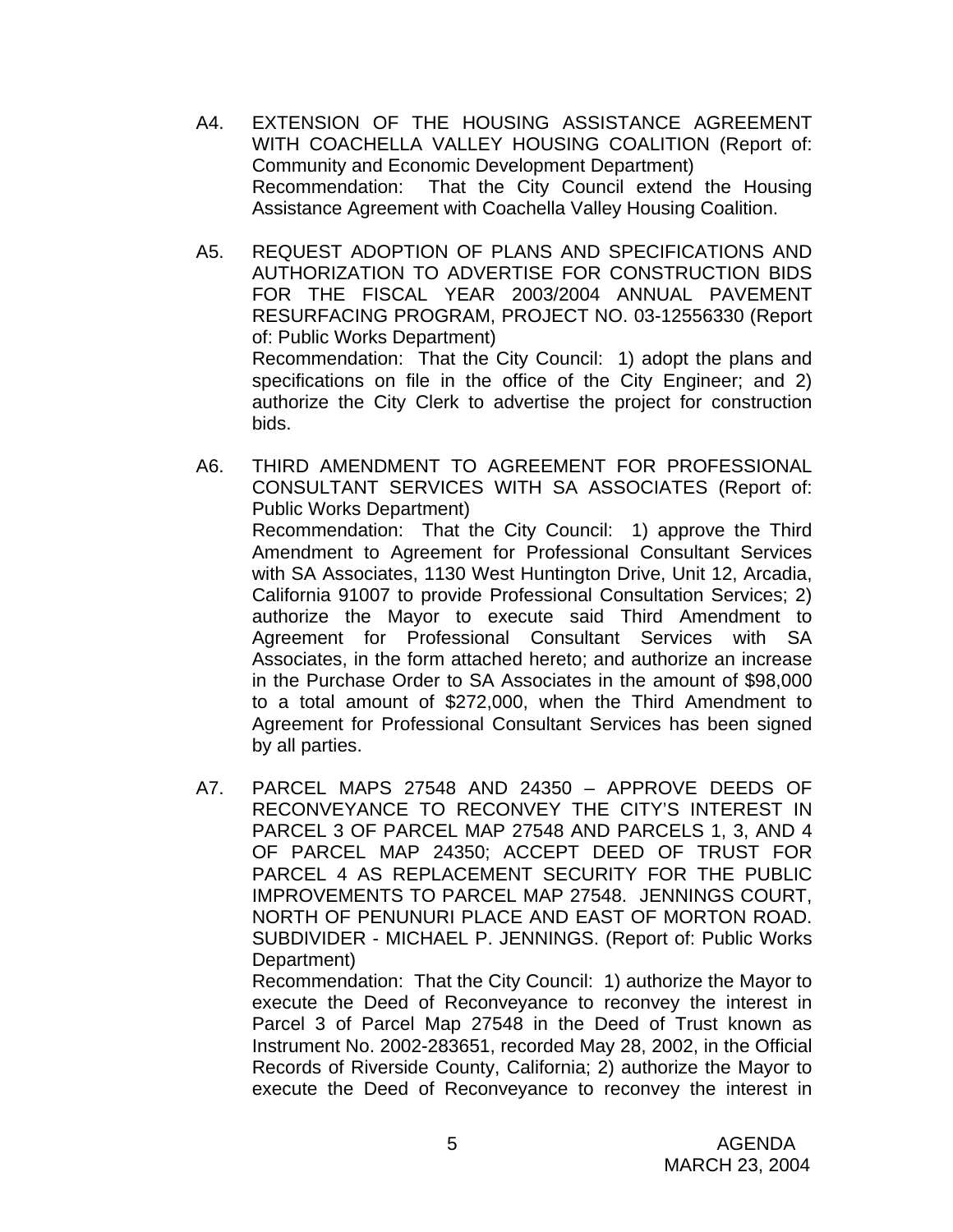- A4. EXTENSION OF THE HOUSING ASSISTANCE AGREEMENT WITH COACHELLA VALLEY HOUSING COALITION (Report of: Community and Economic Development Department) Recommendation: That the City Council extend the Housing Assistance Agreement with Coachella Valley Housing Coalition.
- A5. REQUEST ADOPTION OF PLANS AND SPECIFICATIONS AND AUTHORIZATION TO ADVERTISE FOR CONSTRUCTION BIDS FOR THE FISCAL YEAR 2003/2004 ANNUAL PAVEMENT RESURFACING PROGRAM, PROJECT NO. 03-12556330 (Report of: Public Works Department) Recommendation: That the City Council: 1) adopt the plans and specifications on file in the office of the City Engineer; and 2) authorize the City Clerk to advertise the project for construction bids.
- A6. THIRD AMENDMENT TO AGREEMENT FOR PROFESSIONAL CONSULTANT SERVICES WITH SA ASSOCIATES (Report of: Public Works Department) Recommendation: That the City Council: 1) approve the Third Amendment to Agreement for Professional Consultant Services with SA Associates, 1130 West Huntington Drive, Unit 12, Arcadia, California 91007 to provide Professional Consultation Services; 2) authorize the Mayor to execute said Third Amendment to Agreement for Professional Consultant Services with SA Associates, in the form attached hereto; and authorize an increase in the Purchase Order to SA Associates in the amount of \$98,000 to a total amount of \$272,000, when the Third Amendment to Agreement for Professional Consultant Services has been signed by all parties.
- A7. PARCEL MAPS 27548 AND 24350 APPROVE DEEDS OF RECONVEYANCE TO RECONVEY THE CITY'S INTEREST IN PARCEL 3 OF PARCEL MAP 27548 AND PARCELS 1, 3, AND 4 OF PARCEL MAP 24350; ACCEPT DEED OF TRUST FOR PARCEL 4 AS REPLACEMENT SECURITY FOR THE PUBLIC IMPROVEMENTS TO PARCEL MAP 27548. JENNINGS COURT, NORTH OF PENUNURI PLACE AND EAST OF MORTON ROAD. SUBDIVIDER - MICHAEL P. JENNINGS. (Report of: Public Works Department)

 Recommendation: That the City Council: 1) authorize the Mayor to execute the Deed of Reconveyance to reconvey the interest in Parcel 3 of Parcel Map 27548 in the Deed of Trust known as Instrument No. 2002-283651, recorded May 28, 2002, in the Official Records of Riverside County, California; 2) authorize the Mayor to execute the Deed of Reconveyance to reconvey the interest in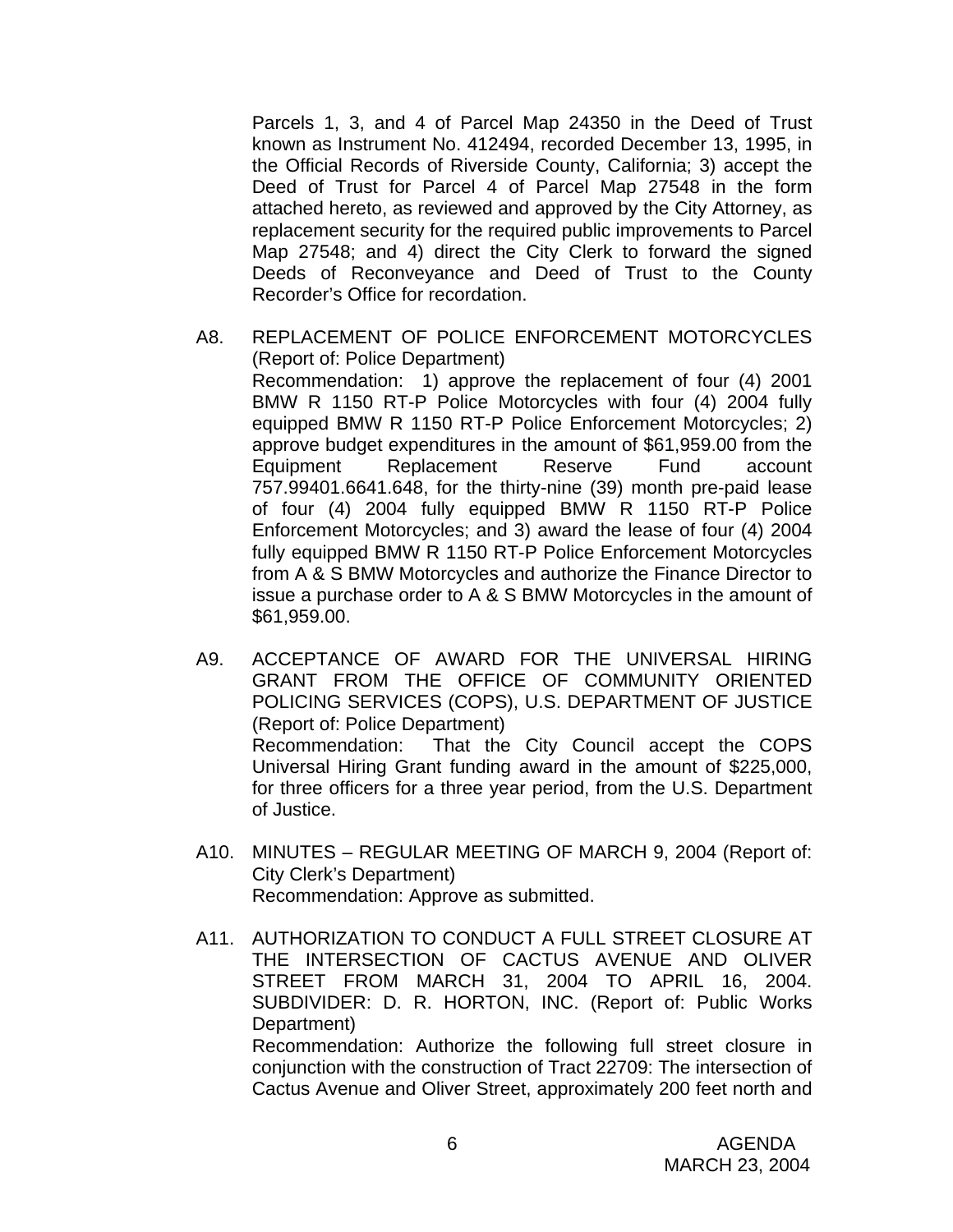Parcels 1, 3, and 4 of Parcel Map 24350 in the Deed of Trust known as Instrument No. 412494, recorded December 13, 1995, in the Official Records of Riverside County, California; 3) accept the Deed of Trust for Parcel 4 of Parcel Map 27548 in the form attached hereto, as reviewed and approved by the City Attorney, as replacement security for the required public improvements to Parcel Map 27548; and 4) direct the City Clerk to forward the signed Deeds of Reconveyance and Deed of Trust to the County Recorder's Office for recordation.

- A8. REPLACEMENT OF POLICE ENFORCEMENT MOTORCYCLES (Report of: Police Department) Recommendation: 1) approve the replacement of four (4) 2001 BMW R 1150 RT-P Police Motorcycles with four (4) 2004 fully equipped BMW R 1150 RT-P Police Enforcement Motorcycles; 2) approve budget expenditures in the amount of \$61,959.00 from the Equipment Replacement Reserve Fund account 757.99401.6641.648, for the thirty-nine (39) month pre-paid lease of four (4) 2004 fully equipped BMW R 1150 RT-P Police Enforcement Motorcycles; and 3) award the lease of four (4) 2004 fully equipped BMW R 1150 RT-P Police Enforcement Motorcycles from A & S BMW Motorcycles and authorize the Finance Director to issue a purchase order to A & S BMW Motorcycles in the amount of \$61,959.00.
- A9. ACCEPTANCE OF AWARD FOR THE UNIVERSAL HIRING GRANT FROM THE OFFICE OF COMMUNITY ORIENTED POLICING SERVICES (COPS), U.S. DEPARTMENT OF JUSTICE (Report of: Police Department) Recommendation: That the City Council accept the COPS Universal Hiring Grant funding award in the amount of \$225,000, for three officers for a three year period, from the U.S. Department of Justice.
- A10. MINUTES REGULAR MEETING OF MARCH 9, 2004 (Report of: City Clerk's Department) Recommendation: Approve as submitted.
- A11. AUTHORIZATION TO CONDUCT A FULL STREET CLOSURE AT THE INTERSECTION OF CACTUS AVENUE AND OLIVER STREET FROM MARCH 31, 2004 TO APRIL 16, 2004. SUBDIVIDER: D. R. HORTON, INC. (Report of: Public Works Department) Recommendation: Authorize the following full street closure in conjunction with the construction of Tract 22709: The intersection of Cactus Avenue and Oliver Street, approximately 200 feet north and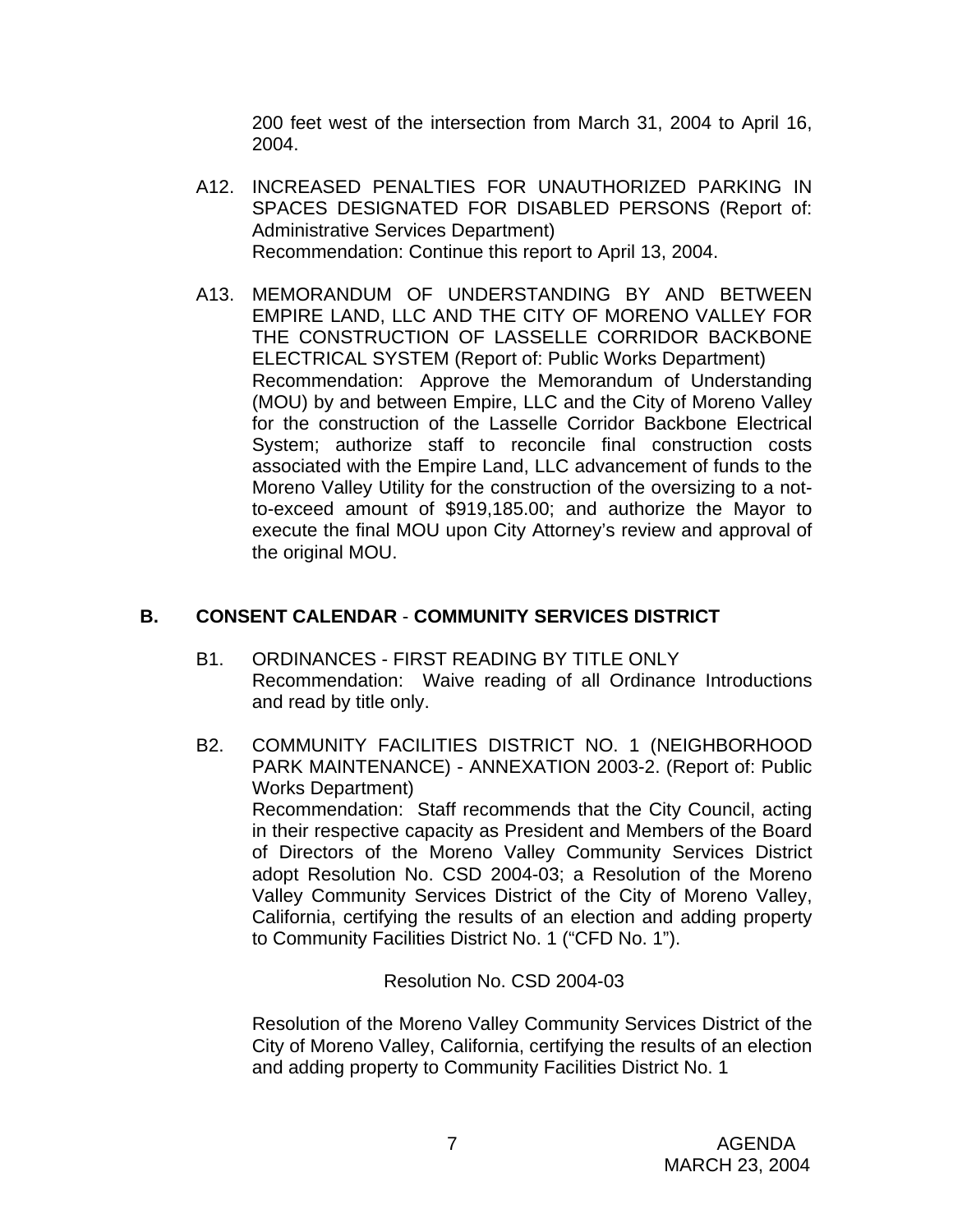200 feet west of the intersection from March 31, 2004 to April 16, 2004.

- A12. INCREASED PENALTIES FOR UNAUTHORIZED PARKING IN SPACES DESIGNATED FOR DISABLED PERSONS (Report of: Administrative Services Department) Recommendation: Continue this report to April 13, 2004.
- A13. MEMORANDUM OF UNDERSTANDING BY AND BETWEEN EMPIRE LAND, LLC AND THE CITY OF MORENO VALLEY FOR THE CONSTRUCTION OF LASSELLE CORRIDOR BACKBONE ELECTRICAL SYSTEM (Report of: Public Works Department) Recommendation: Approve the Memorandum of Understanding (MOU) by and between Empire, LLC and the City of Moreno Valley for the construction of the Lasselle Corridor Backbone Electrical System; authorize staff to reconcile final construction costs associated with the Empire Land, LLC advancement of funds to the Moreno Valley Utility for the construction of the oversizing to a notto-exceed amount of \$919,185.00; and authorize the Mayor to execute the final MOU upon City Attorney's review and approval of the original MOU.

# **B. CONSENT CALENDAR** - **COMMUNITY SERVICES DISTRICT**

- B1. ORDINANCES FIRST READING BY TITLE ONLY Recommendation: Waive reading of all Ordinance Introductions and read by title only.
- B2. COMMUNITY FACILITIES DISTRICT NO. 1 (NEIGHBORHOOD PARK MAINTENANCE) - ANNEXATION 2003-2. (Report of: Public Works Department) Recommendation: Staff recommends that the City Council, acting in their respective capacity as President and Members of the Board of Directors of the Moreno Valley Community Services District adopt Resolution No. CSD 2004-03; a Resolution of the Moreno Valley Community Services District of the City of Moreno Valley, California, certifying the results of an election and adding property to Community Facilities District No. 1 ("CFD No. 1").

Resolution No. CSD 2004-03

 Resolution of the Moreno Valley Community Services District of the City of Moreno Valley, California, certifying the results of an election and adding property to Community Facilities District No. 1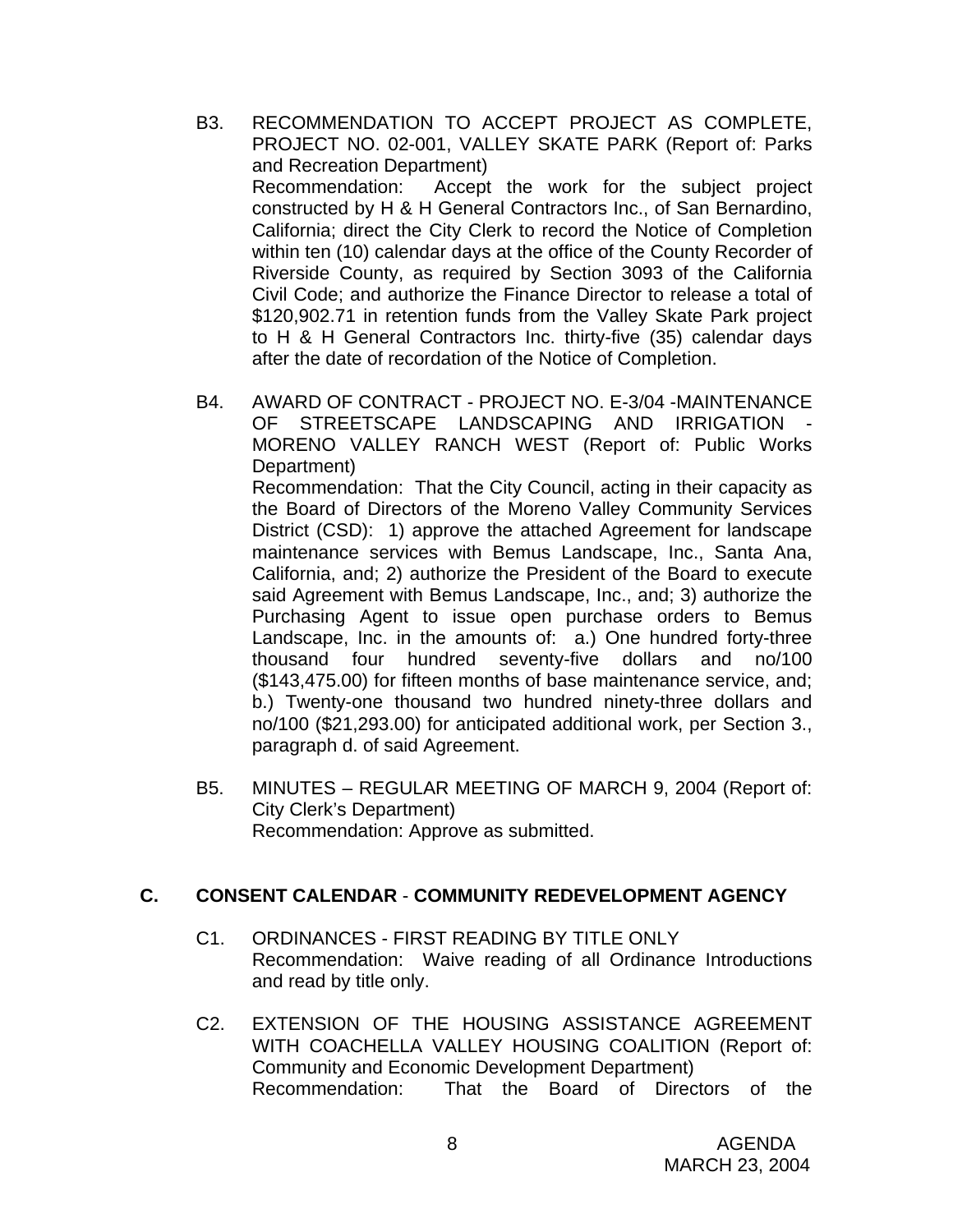- B3. RECOMMENDATION TO ACCEPT PROJECT AS COMPLETE, PROJECT NO. 02-001, VALLEY SKATE PARK (Report of: Parks and Recreation Department) Recommendation: Accept the work for the subject project constructed by H & H General Contractors Inc., of San Bernardino, California; direct the City Clerk to record the Notice of Completion within ten (10) calendar days at the office of the County Recorder of Riverside County, as required by Section 3093 of the California Civil Code; and authorize the Finance Director to release a total of \$120,902.71 in retention funds from the Valley Skate Park project to H & H General Contractors Inc. thirty-five (35) calendar days after the date of recordation of the Notice of Completion.
- B4. AWARD OF CONTRACT PROJECT NO. E-3/04 -MAINTENANCE OF STREETSCAPE LANDSCAPING AND IRRIGATION MORENO VALLEY RANCH WEST (Report of: Public Works Department) Recommendation: That the City Council, acting in their capacity as the Board of Directors of the Moreno Valley Community Services District (CSD): 1) approve the attached Agreement for landscape maintenance services with Bemus Landscape, Inc., Santa Ana, California, and; 2) authorize the President of the Board to execute said Agreement with Bemus Landscape, Inc., and; 3) authorize the Purchasing Agent to issue open purchase orders to Bemus Landscape, Inc. in the amounts of: a.) One hundred forty-three thousand four hundred seventy-five dollars and no/100 (\$143,475.00) for fifteen months of base maintenance service, and; b.) Twenty-one thousand two hundred ninety-three dollars and no/100 (\$21,293.00) for anticipated additional work, per Section 3., paragraph d. of said Agreement.
- B5. MINUTES REGULAR MEETING OF MARCH 9, 2004 (Report of: City Clerk's Department) Recommendation: Approve as submitted.

### **C. CONSENT CALENDAR** - **COMMUNITY REDEVELOPMENT AGENCY**

- C1. ORDINANCES FIRST READING BY TITLE ONLY Recommendation: Waive reading of all Ordinance Introductions and read by title only.
- C2. EXTENSION OF THE HOUSING ASSISTANCE AGREEMENT WITH COACHELLA VALLEY HOUSING COALITION (Report of: Community and Economic Development Department) Recommendation: That the Board of Directors of the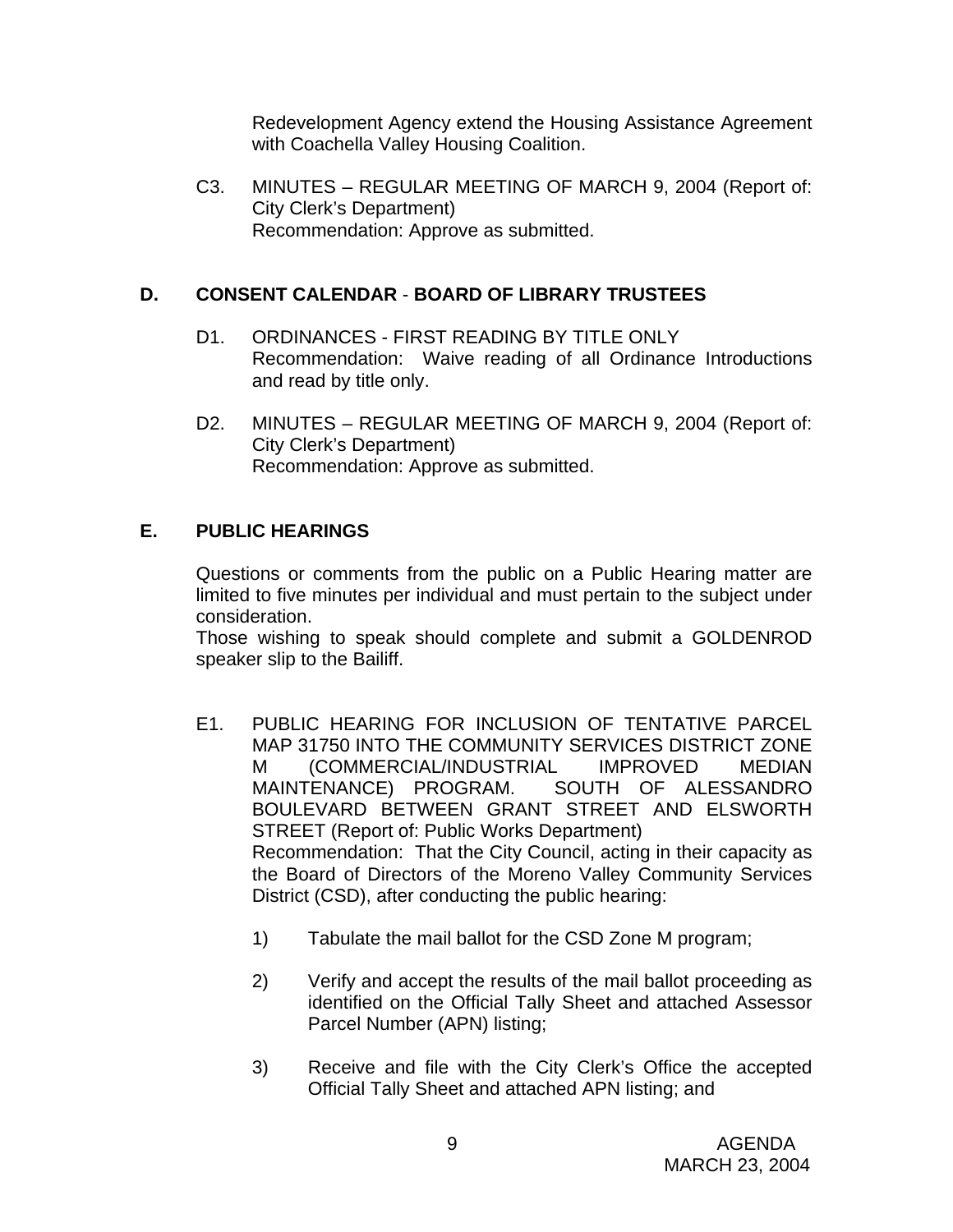Redevelopment Agency extend the Housing Assistance Agreement with Coachella Valley Housing Coalition.

C3. MINUTES – REGULAR MEETING OF MARCH 9, 2004 (Report of: City Clerk's Department) Recommendation: Approve as submitted.

# **D. CONSENT CALENDAR** - **BOARD OF LIBRARY TRUSTEES**

- D1. ORDINANCES FIRST READING BY TITLE ONLY Recommendation: Waive reading of all Ordinance Introductions and read by title only.
- D2. MINUTES REGULAR MEETING OF MARCH 9, 2004 (Report of: City Clerk's Department) Recommendation: Approve as submitted.

# **E. PUBLIC HEARINGS**

Questions or comments from the public on a Public Hearing matter are limited to five minutes per individual and must pertain to the subject under consideration.

 Those wishing to speak should complete and submit a GOLDENROD speaker slip to the Bailiff.

- E1. PUBLIC HEARING FOR INCLUSION OF TENTATIVE PARCEL MAP 31750 INTO THE COMMUNITY SERVICES DISTRICT ZONE M (COMMERCIAL/INDUSTRIAL IMPROVED MEDIAN MAINTENANCE) PROGRAM. SOUTH OF ALESSANDRO BOULEVARD BETWEEN GRANT STREET AND ELSWORTH STREET (Report of: Public Works Department) Recommendation: That the City Council, acting in their capacity as the Board of Directors of the Moreno Valley Community Services District (CSD), after conducting the public hearing:
	- 1) Tabulate the mail ballot for the CSD Zone M program;
	- 2) Verify and accept the results of the mail ballot proceeding as identified on the Official Tally Sheet and attached Assessor Parcel Number (APN) listing;
	- 3) Receive and file with the City Clerk's Office the accepted Official Tally Sheet and attached APN listing; and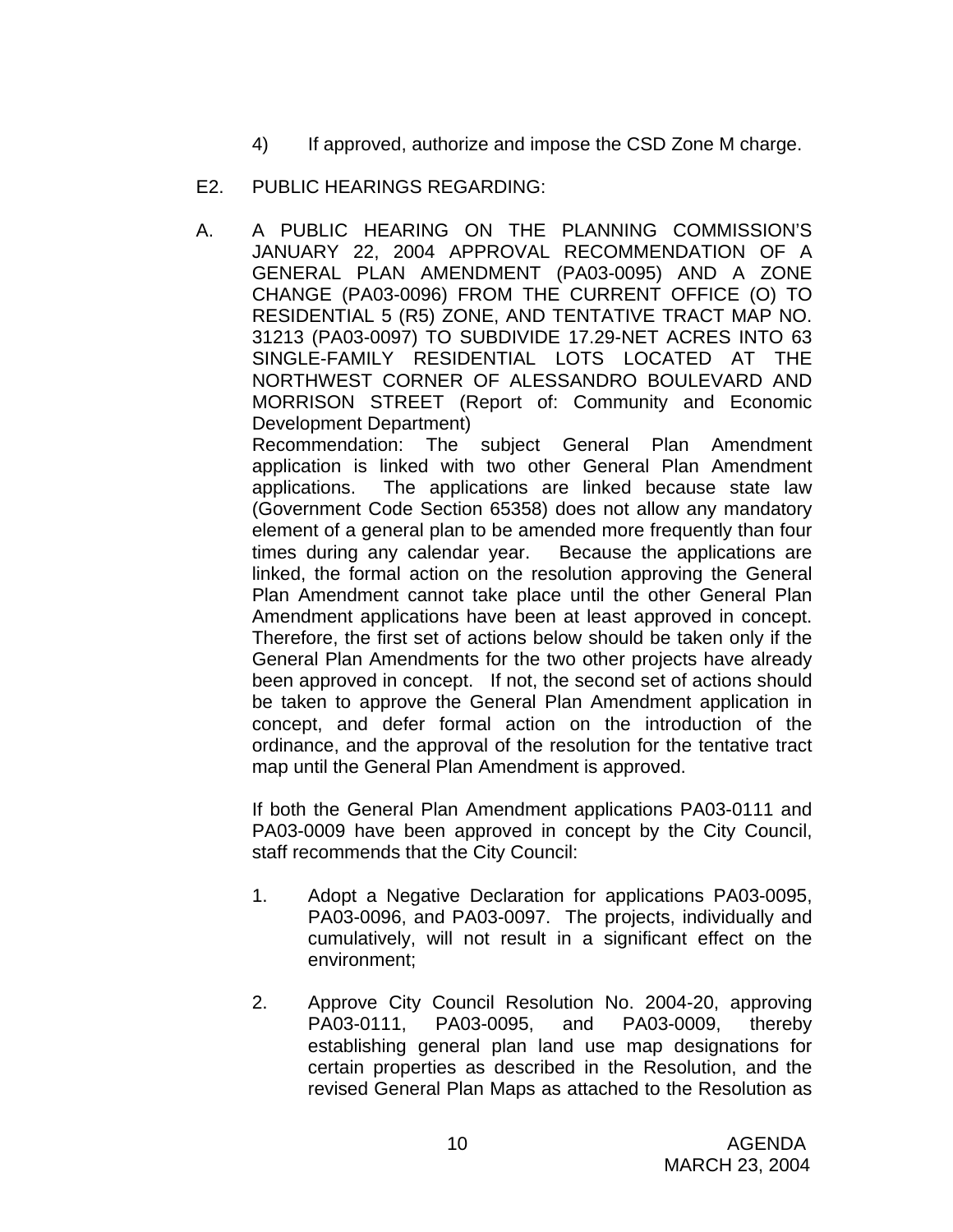- 4) If approved, authorize and impose the CSD Zone M charge.
- E2. PUBLIC HEARINGS REGARDING:
- A. A PUBLIC HEARING ON THE PLANNING COMMISSION'S JANUARY 22, 2004 APPROVAL RECOMMENDATION OF A GENERAL PLAN AMENDMENT (PA03-0095) AND A ZONE CHANGE (PA03-0096) FROM THE CURRENT OFFICE (O) TO RESIDENTIAL 5 (R5) ZONE, AND TENTATIVE TRACT MAP NO. 31213 (PA03-0097) TO SUBDIVIDE 17.29-NET ACRES INTO 63 SINGLE-FAMILY RESIDENTIAL LOTS LOCATED AT THE NORTHWEST CORNER OF ALESSANDRO BOULEVARD AND MORRISON STREET (Report of: Community and Economic Development Department)

Recommendation: The subject General Plan Amendment application is linked with two other General Plan Amendment applications. The applications are linked because state law (Government Code Section 65358) does not allow any mandatory element of a general plan to be amended more frequently than four times during any calendar year. Because the applications are linked, the formal action on the resolution approving the General Plan Amendment cannot take place until the other General Plan Amendment applications have been at least approved in concept. Therefore, the first set of actions below should be taken only if the General Plan Amendments for the two other projects have already been approved in concept. If not, the second set of actions should be taken to approve the General Plan Amendment application in concept, and defer formal action on the introduction of the ordinance, and the approval of the resolution for the tentative tract map until the General Plan Amendment is approved.

If both the General Plan Amendment applications PA03-0111 and PA03-0009 have been approved in concept by the City Council, staff recommends that the City Council:

- 1. Adopt a Negative Declaration for applications PA03-0095, PA03-0096, and PA03-0097. The projects, individually and cumulatively, will not result in a significant effect on the environment;
- 2. Approve City Council Resolution No. 2004-20, approving PA03-0111, PA03-0095, and PA03-0009, thereby establishing general plan land use map designations for certain properties as described in the Resolution, and the revised General Plan Maps as attached to the Resolution as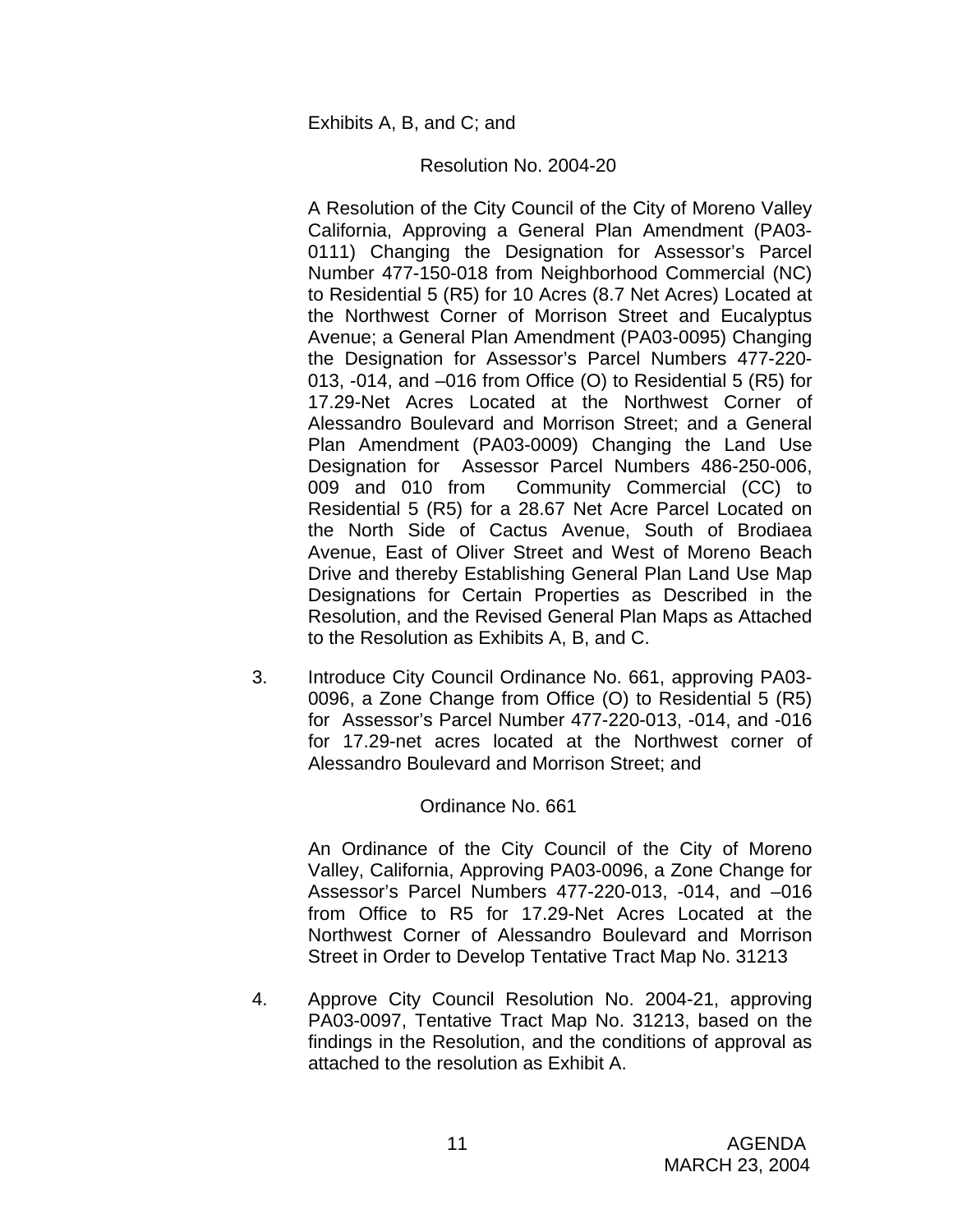#### Exhibits A, B, and C; and

#### Resolution No. 2004-20

A Resolution of the City Council of the City of Moreno Valley California, Approving a General Plan Amendment (PA03- 0111) Changing the Designation for Assessor's Parcel Number 477-150-018 from Neighborhood Commercial (NC) to Residential 5 (R5) for 10 Acres (8.7 Net Acres) Located at the Northwest Corner of Morrison Street and Eucalyptus Avenue; a General Plan Amendment (PA03-0095) Changing the Designation for Assessor's Parcel Numbers 477-220- 013, -014, and –016 from Office (O) to Residential 5 (R5) for 17.29-Net Acres Located at the Northwest Corner of Alessandro Boulevard and Morrison Street; and a General Plan Amendment (PA03-0009) Changing the Land Use Designation for Assessor Parcel Numbers 486-250-006, 009 and 010 from Community Commercial (CC) to Residential 5 (R5) for a 28.67 Net Acre Parcel Located on the North Side of Cactus Avenue, South of Brodiaea Avenue, East of Oliver Street and West of Moreno Beach Drive and thereby Establishing General Plan Land Use Map Designations for Certain Properties as Described in the Resolution, and the Revised General Plan Maps as Attached to the Resolution as Exhibits A, B, and C.

3. Introduce City Council Ordinance No. 661, approving PA03- 0096, a Zone Change from Office (O) to Residential 5 (R5) for Assessor's Parcel Number 477-220-013, -014, and -016 for 17.29-net acres located at the Northwest corner of Alessandro Boulevard and Morrison Street; and

#### Ordinance No. 661

 An Ordinance of the City Council of the City of Moreno Valley, California, Approving PA03-0096, a Zone Change for Assessor's Parcel Numbers 477-220-013, -014, and –016 from Office to R5 for 17.29-Net Acres Located at the Northwest Corner of Alessandro Boulevard and Morrison Street in Order to Develop Tentative Tract Map No. 31213

4. Approve City Council Resolution No. 2004-21, approving PA03-0097, Tentative Tract Map No. 31213, based on the findings in the Resolution, and the conditions of approval as attached to the resolution as Exhibit A.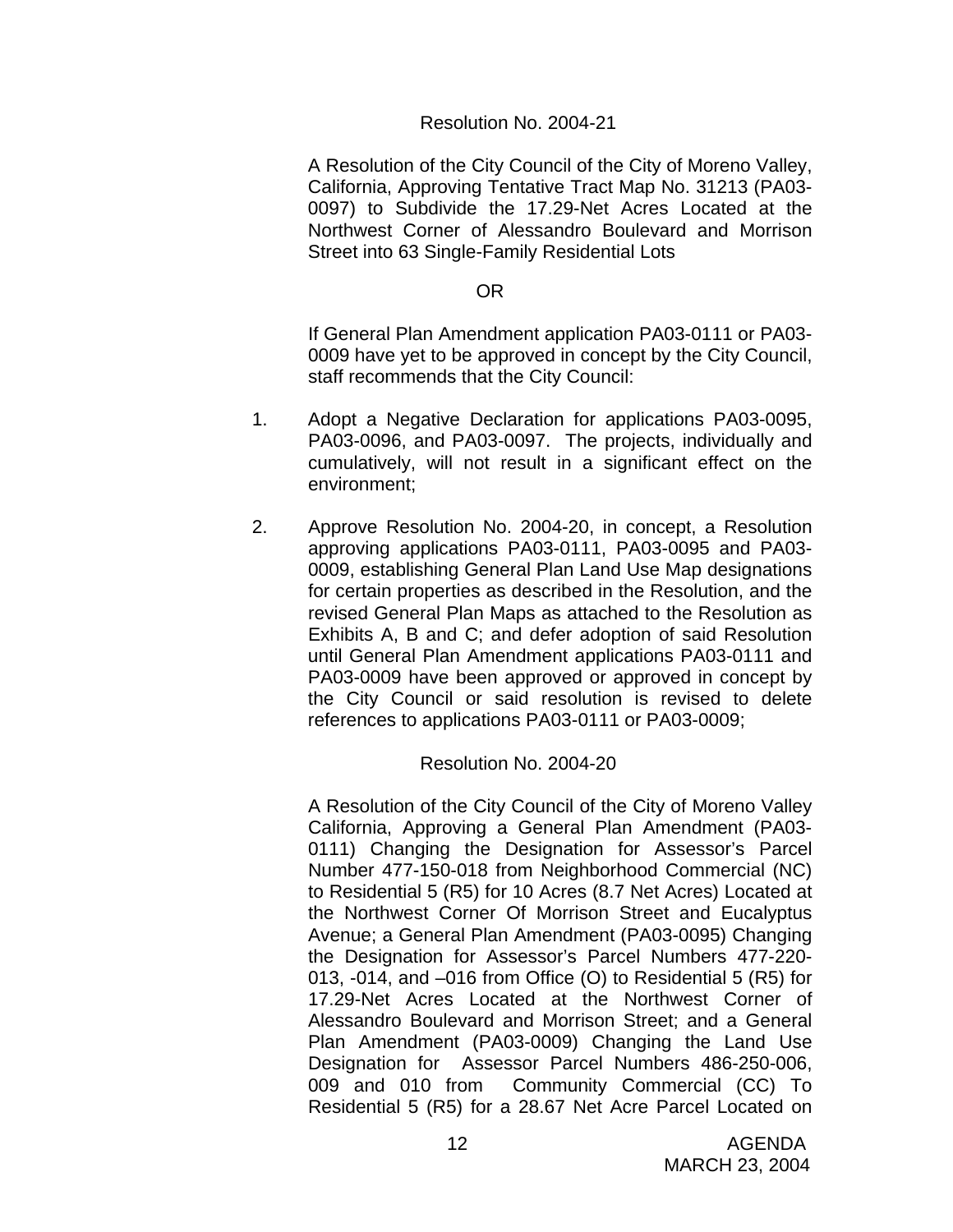### Resolution No. 2004-21

A Resolution of the City Council of the City of Moreno Valley, California, Approving Tentative Tract Map No. 31213 (PA03- 0097) to Subdivide the 17.29-Net Acres Located at the Northwest Corner of Alessandro Boulevard and Morrison Street into 63 Single-Family Residential Lots

#### OR

If General Plan Amendment application PA03-0111 or PA03- 0009 have yet to be approved in concept by the City Council, staff recommends that the City Council:

- 1. Adopt a Negative Declaration for applications PA03-0095, PA03-0096, and PA03-0097. The projects, individually and cumulatively, will not result in a significant effect on the environment;
- 2. Approve Resolution No. 2004-20, in concept, a Resolution approving applications PA03-0111, PA03-0095 and PA03- 0009, establishing General Plan Land Use Map designations for certain properties as described in the Resolution, and the revised General Plan Maps as attached to the Resolution as Exhibits A, B and C; and defer adoption of said Resolution until General Plan Amendment applications PA03-0111 and PA03-0009 have been approved or approved in concept by the City Council or said resolution is revised to delete references to applications PA03-0111 or PA03-0009;

#### Resolution No. 2004-20

A Resolution of the City Council of the City of Moreno Valley California, Approving a General Plan Amendment (PA03- 0111) Changing the Designation for Assessor's Parcel Number 477-150-018 from Neighborhood Commercial (NC) to Residential 5 (R5) for 10 Acres (8.7 Net Acres) Located at the Northwest Corner Of Morrison Street and Eucalyptus Avenue; a General Plan Amendment (PA03-0095) Changing the Designation for Assessor's Parcel Numbers 477-220- 013, -014, and –016 from Office (O) to Residential 5 (R5) for 17.29-Net Acres Located at the Northwest Corner of Alessandro Boulevard and Morrison Street; and a General Plan Amendment (PA03-0009) Changing the Land Use Designation for Assessor Parcel Numbers 486-250-006, 009 and 010 from Community Commercial (CC) To Residential 5 (R5) for a 28.67 Net Acre Parcel Located on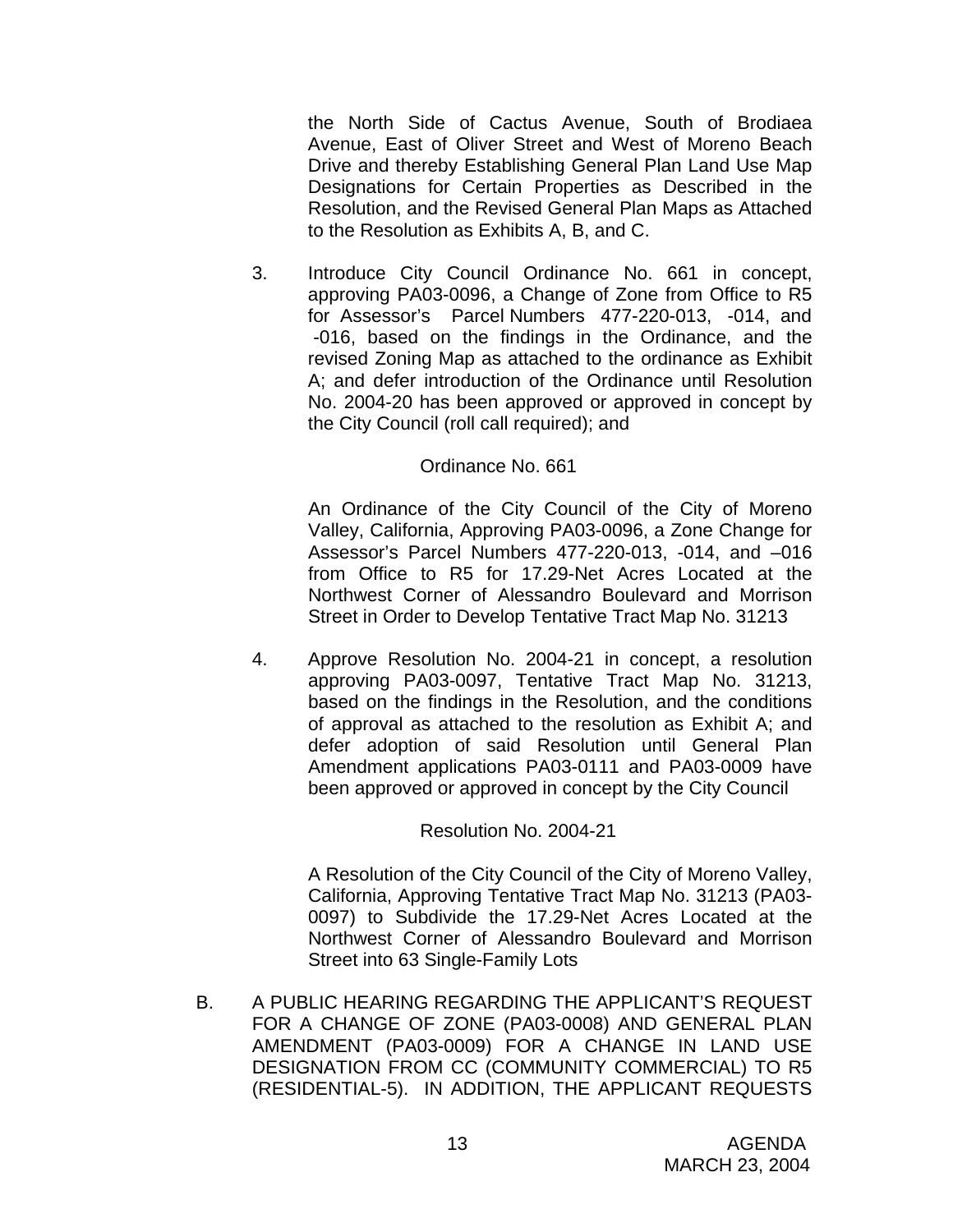the North Side of Cactus Avenue, South of Brodiaea Avenue, East of Oliver Street and West of Moreno Beach Drive and thereby Establishing General Plan Land Use Map Designations for Certain Properties as Described in the Resolution, and the Revised General Plan Maps as Attached to the Resolution as Exhibits A, B, and C.

3. Introduce City Council Ordinance No. 661 in concept, approving PA03-0096, a Change of Zone from Office to R5 for Assessor's Parcel Numbers 477-220-013, -014, and -016, based on the findings in the Ordinance, and the revised Zoning Map as attached to the ordinance as Exhibit A; and defer introduction of the Ordinance until Resolution No. 2004-20 has been approved or approved in concept by the City Council (roll call required); and

### Ordinance No. 661

An Ordinance of the City Council of the City of Moreno Valley, California, Approving PA03-0096, a Zone Change for Assessor's Parcel Numbers 477-220-013, -014, and –016 from Office to R5 for 17.29-Net Acres Located at the Northwest Corner of Alessandro Boulevard and Morrison Street in Order to Develop Tentative Tract Map No. 31213

4. Approve Resolution No. 2004-21 in concept, a resolution approving PA03-0097, Tentative Tract Map No. 31213, based on the findings in the Resolution, and the conditions of approval as attached to the resolution as Exhibit A; and defer adoption of said Resolution until General Plan Amendment applications PA03-0111 and PA03-0009 have been approved or approved in concept by the City Council

#### Resolution No. 2004-21

A Resolution of the City Council of the City of Moreno Valley, California, Approving Tentative Tract Map No. 31213 (PA03- 0097) to Subdivide the 17.29-Net Acres Located at the Northwest Corner of Alessandro Boulevard and Morrison Street into 63 Single-Family Lots

B. A PUBLIC HEARING REGARDING THE APPLICANT'S REQUEST FOR A CHANGE OF ZONE (PA03-0008) AND GENERAL PLAN AMENDMENT (PA03-0009) FOR A CHANGE IN LAND USE DESIGNATION FROM CC (COMMUNITY COMMERCIAL) TO R5 (RESIDENTIAL-5). IN ADDITION, THE APPLICANT REQUESTS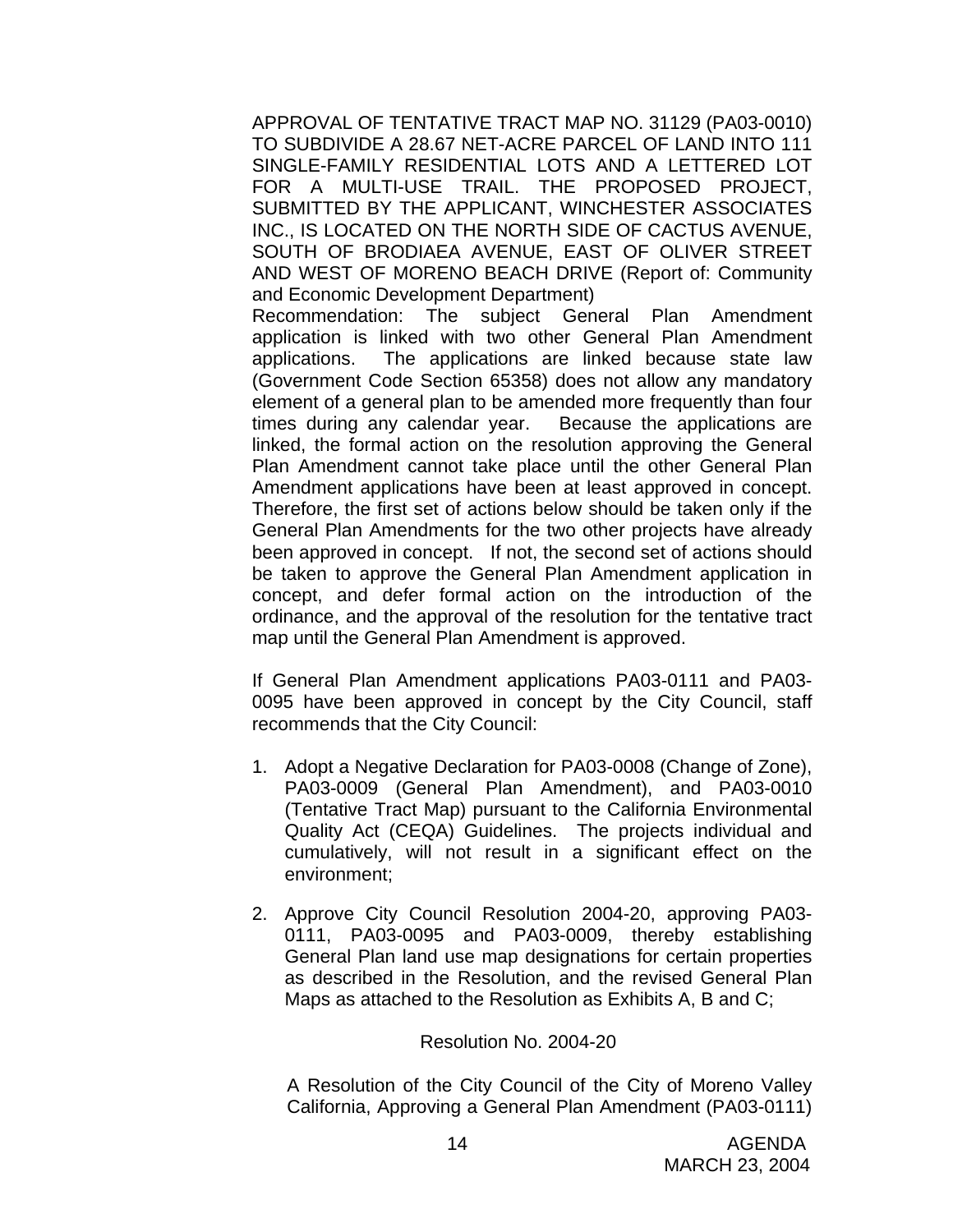APPROVAL OF TENTATIVE TRACT MAP NO. 31129 (PA03-0010) TO SUBDIVIDE A 28.67 NET-ACRE PARCEL OF LAND INTO 111 SINGLE-FAMILY RESIDENTIAL LOTS AND A LETTERED LOT FOR A MULTI-USE TRAIL. THE PROPOSED PROJECT, SUBMITTED BY THE APPLICANT, WINCHESTER ASSOCIATES INC., IS LOCATED ON THE NORTH SIDE OF CACTUS AVENUE, SOUTH OF BRODIAEA AVENUE, EAST OF OLIVER STREET AND WEST OF MORENO BEACH DRIVE (Report of: Community and Economic Development Department)

Recommendation: The subject General Plan Amendment application is linked with two other General Plan Amendment applications. The applications are linked because state law (Government Code Section 65358) does not allow any mandatory element of a general plan to be amended more frequently than four times during any calendar year. Because the applications are linked, the formal action on the resolution approving the General Plan Amendment cannot take place until the other General Plan Amendment applications have been at least approved in concept. Therefore, the first set of actions below should be taken only if the General Plan Amendments for the two other projects have already been approved in concept. If not, the second set of actions should be taken to approve the General Plan Amendment application in concept, and defer formal action on the introduction of the ordinance, and the approval of the resolution for the tentative tract map until the General Plan Amendment is approved.

If General Plan Amendment applications PA03-0111 and PA03- 0095 have been approved in concept by the City Council, staff recommends that the City Council:

- 1. Adopt a Negative Declaration for PA03-0008 (Change of Zone), PA03-0009 (General Plan Amendment), and PA03-0010 (Tentative Tract Map) pursuant to the California Environmental Quality Act (CEQA) Guidelines. The projects individual and cumulatively, will not result in a significant effect on the environment;
- 2. Approve City Council Resolution 2004-20, approving PA03- 0111, PA03-0095 and PA03-0009, thereby establishing General Plan land use map designations for certain properties as described in the Resolution, and the revised General Plan Maps as attached to the Resolution as Exhibits A, B and C;

#### Resolution No. 2004-20

A Resolution of the City Council of the City of Moreno Valley California, Approving a General Plan Amendment (PA03-0111)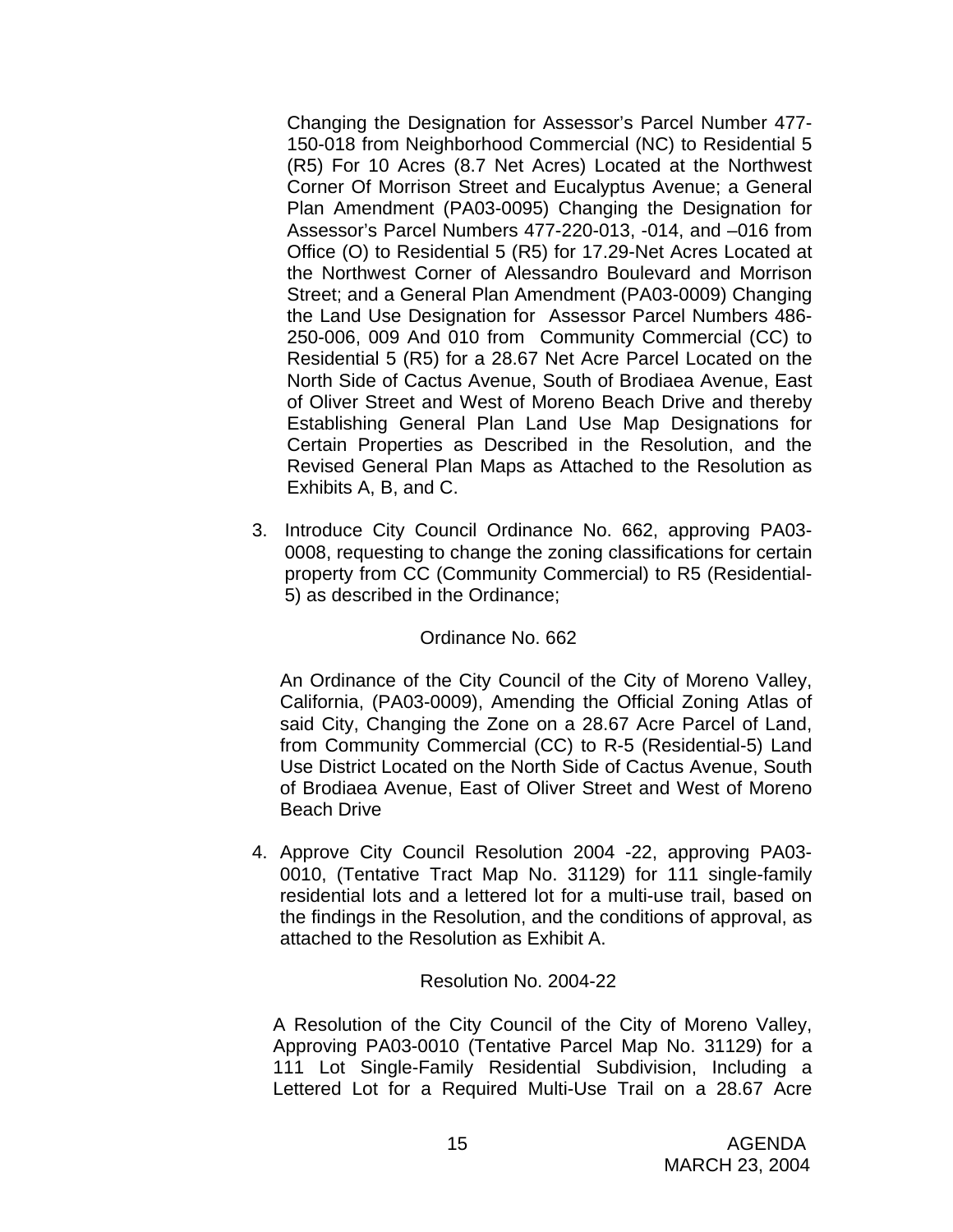Changing the Designation for Assessor's Parcel Number 477- 150-018 from Neighborhood Commercial (NC) to Residential 5 (R5) For 10 Acres (8.7 Net Acres) Located at the Northwest Corner Of Morrison Street and Eucalyptus Avenue; a General Plan Amendment (PA03-0095) Changing the Designation for Assessor's Parcel Numbers 477-220-013, -014, and –016 from Office (O) to Residential 5 (R5) for 17.29-Net Acres Located at the Northwest Corner of Alessandro Boulevard and Morrison Street; and a General Plan Amendment (PA03-0009) Changing the Land Use Designation for Assessor Parcel Numbers 486- 250-006, 009 And 010 from Community Commercial (CC) to Residential 5 (R5) for a 28.67 Net Acre Parcel Located on the North Side of Cactus Avenue, South of Brodiaea Avenue, East of Oliver Street and West of Moreno Beach Drive and thereby Establishing General Plan Land Use Map Designations for Certain Properties as Described in the Resolution, and the Revised General Plan Maps as Attached to the Resolution as Exhibits A, B, and C.

3. Introduce City Council Ordinance No. 662, approving PA03- 0008, requesting to change the zoning classifications for certain property from CC (Community Commercial) to R5 (Residential-5) as described in the Ordinance;

### Ordinance No. 662

An Ordinance of the City Council of the City of Moreno Valley, California, (PA03-0009), Amending the Official Zoning Atlas of said City, Changing the Zone on a 28.67 Acre Parcel of Land, from Community Commercial (CC) to R-5 (Residential-5) Land Use District Located on the North Side of Cactus Avenue, South of Brodiaea Avenue, East of Oliver Street and West of Moreno Beach Drive

 4. Approve City Council Resolution 2004 -22, approving PA03- 0010, (Tentative Tract Map No. 31129) for 111 single-family residential lots and a lettered lot for a multi-use trail, based on the findings in the Resolution, and the conditions of approval, as attached to the Resolution as Exhibit A.

#### Resolution No. 2004-22

A Resolution of the City Council of the City of Moreno Valley, Approving PA03-0010 (Tentative Parcel Map No. 31129) for a 111 Lot Single-Family Residential Subdivision, Including a Lettered Lot for a Required Multi-Use Trail on a 28.67 Acre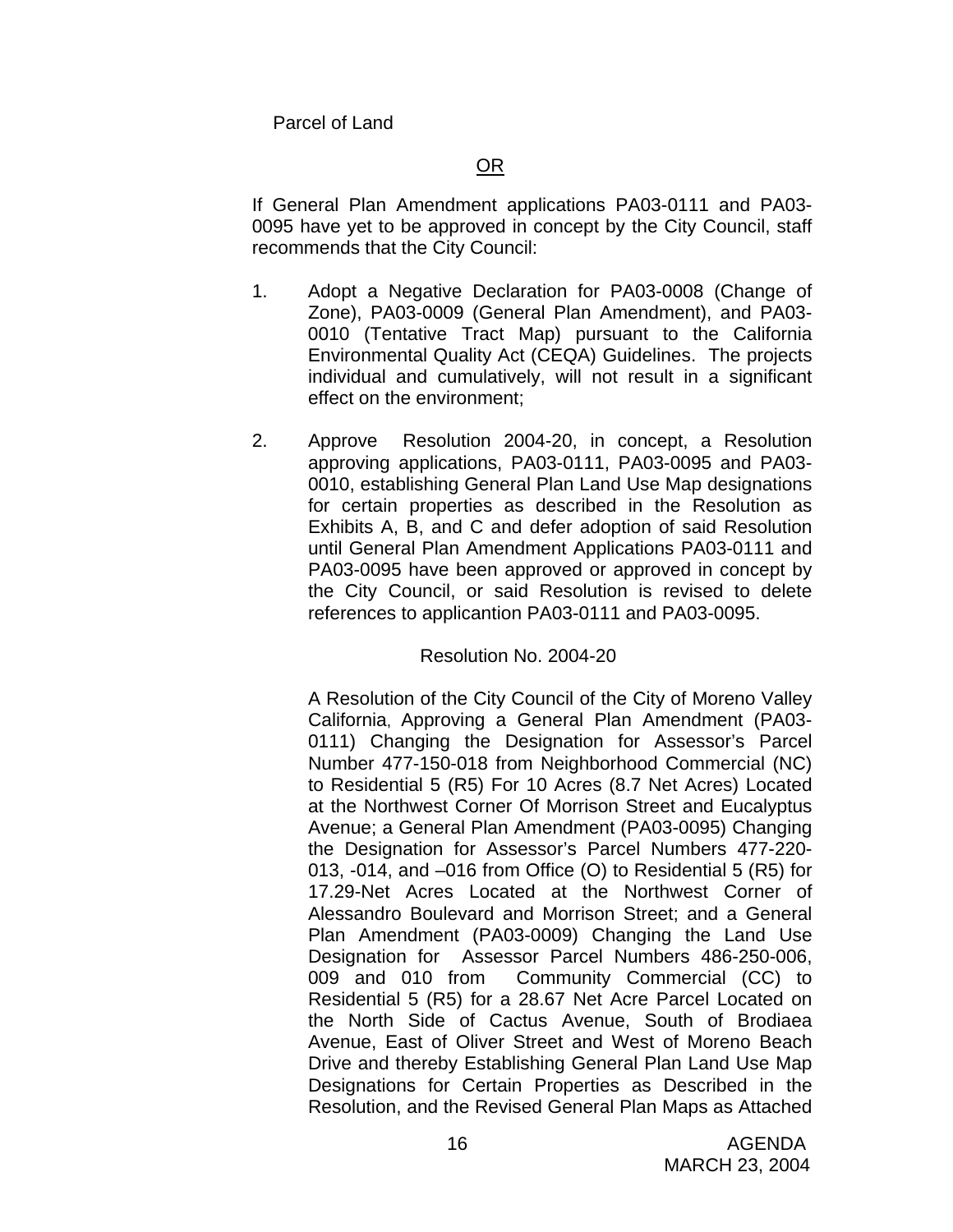Parcel of Land

If General Plan Amendment applications PA03-0111 and PA03- 0095 have yet to be approved in concept by the City Council, staff recommends that the City Council:

- 1. Adopt a Negative Declaration for PA03-0008 (Change of Zone), PA03-0009 (General Plan Amendment), and PA03- 0010 (Tentative Tract Map) pursuant to the California Environmental Quality Act (CEQA) Guidelines. The projects individual and cumulatively, will not result in a significant effect on the environment;
- 2. Approve Resolution 2004-20, in concept, a Resolution approving applications, PA03-0111, PA03-0095 and PA03- 0010, establishing General Plan Land Use Map designations for certain properties as described in the Resolution as Exhibits A, B, and C and defer adoption of said Resolution until General Plan Amendment Applications PA03-0111 and PA03-0095 have been approved or approved in concept by the City Council, or said Resolution is revised to delete references to applicantion PA03-0111 and PA03-0095.

### Resolution No. 2004-20

A Resolution of the City Council of the City of Moreno Valley California, Approving a General Plan Amendment (PA03- 0111) Changing the Designation for Assessor's Parcel Number 477-150-018 from Neighborhood Commercial (NC) to Residential 5 (R5) For 10 Acres (8.7 Net Acres) Located at the Northwest Corner Of Morrison Street and Eucalyptus Avenue; a General Plan Amendment (PA03-0095) Changing the Designation for Assessor's Parcel Numbers 477-220- 013, -014, and –016 from Office (O) to Residential 5 (R5) for 17.29-Net Acres Located at the Northwest Corner of Alessandro Boulevard and Morrison Street; and a General Plan Amendment (PA03-0009) Changing the Land Use Designation for Assessor Parcel Numbers 486-250-006, 009 and 010 from Community Commercial (CC) to Residential 5 (R5) for a 28.67 Net Acre Parcel Located on the North Side of Cactus Avenue, South of Brodiaea Avenue, East of Oliver Street and West of Moreno Beach Drive and thereby Establishing General Plan Land Use Map Designations for Certain Properties as Described in the Resolution, and the Revised General Plan Maps as Attached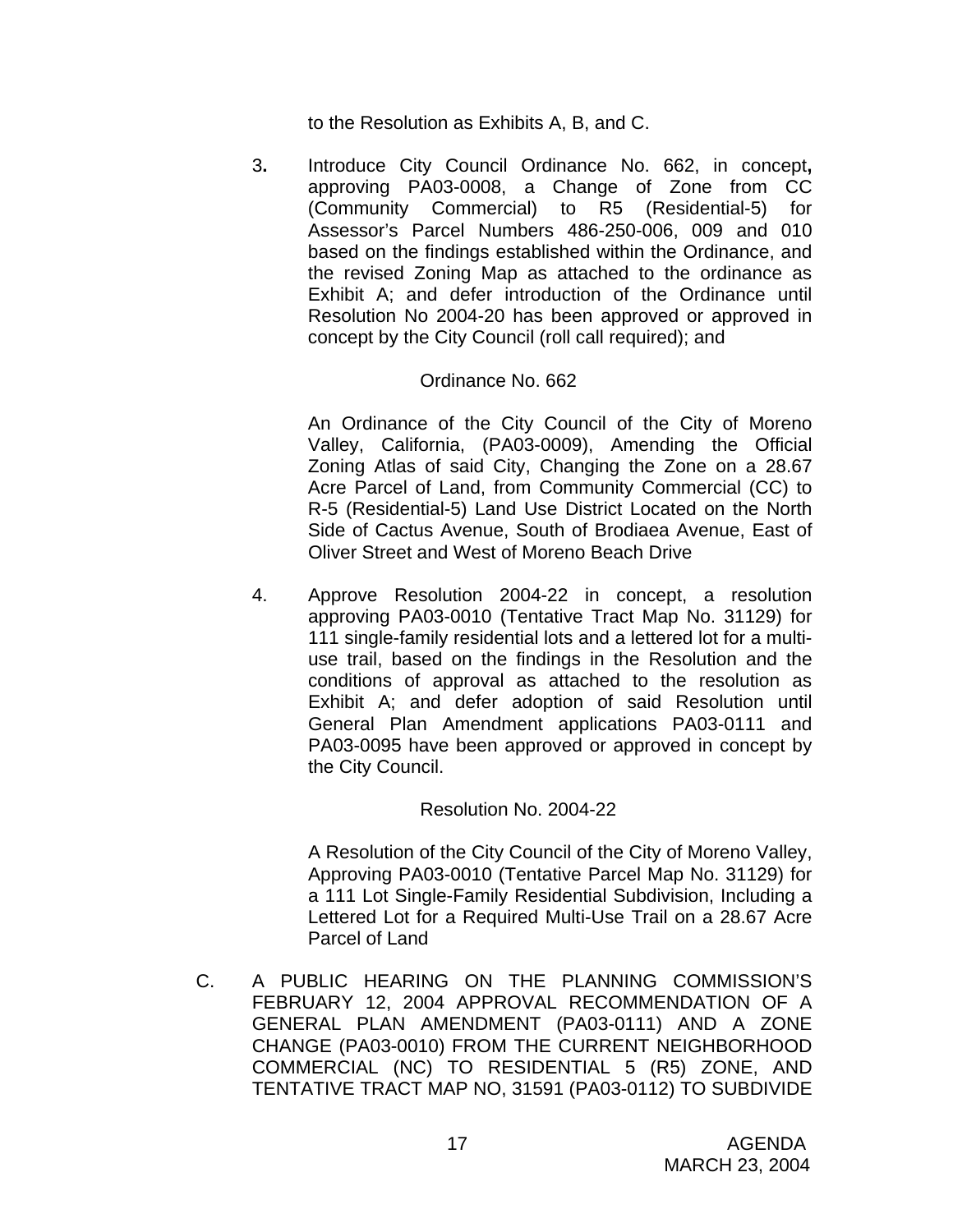to the Resolution as Exhibits A, B, and C.

3**.** Introduce City Council Ordinance No. 662, in concept**,** approving PA03-0008, a Change of Zone from CC (Community Commercial) to R5 (Residential-5) for Assessor's Parcel Numbers 486-250-006, 009 and 010 based on the findings established within the Ordinance, and the revised Zoning Map as attached to the ordinance as Exhibit A; and defer introduction of the Ordinance until Resolution No 2004-20 has been approved or approved in concept by the City Council (roll call required); and

### Ordinance No. 662

An Ordinance of the City Council of the City of Moreno Valley, California, (PA03-0009), Amending the Official Zoning Atlas of said City, Changing the Zone on a 28.67 Acre Parcel of Land, from Community Commercial (CC) to R-5 (Residential-5) Land Use District Located on the North Side of Cactus Avenue, South of Brodiaea Avenue, East of Oliver Street and West of Moreno Beach Drive

 4. Approve Resolution 2004-22 in concept, a resolution approving PA03-0010 (Tentative Tract Map No. 31129) for 111 single-family residential lots and a lettered lot for a multiuse trail, based on the findings in the Resolution and the conditions of approval as attached to the resolution as Exhibit A; and defer adoption of said Resolution until General Plan Amendment applications PA03-0111 and PA03-0095 have been approved or approved in concept by the City Council.

### Resolution No. 2004-22

A Resolution of the City Council of the City of Moreno Valley, Approving PA03-0010 (Tentative Parcel Map No. 31129) for a 111 Lot Single-Family Residential Subdivision, Including a Lettered Lot for a Required Multi-Use Trail on a 28.67 Acre Parcel of Land

C. A PUBLIC HEARING ON THE PLANNING COMMISSION'S FEBRUARY 12, 2004 APPROVAL RECOMMENDATION OF A GENERAL PLAN AMENDMENT (PA03-0111) AND A ZONE CHANGE (PA03-0010) FROM THE CURRENT NEIGHBORHOOD COMMERCIAL (NC) TO RESIDENTIAL 5 (R5) ZONE, AND TENTATIVE TRACT MAP NO, 31591 (PA03-0112) TO SUBDIVIDE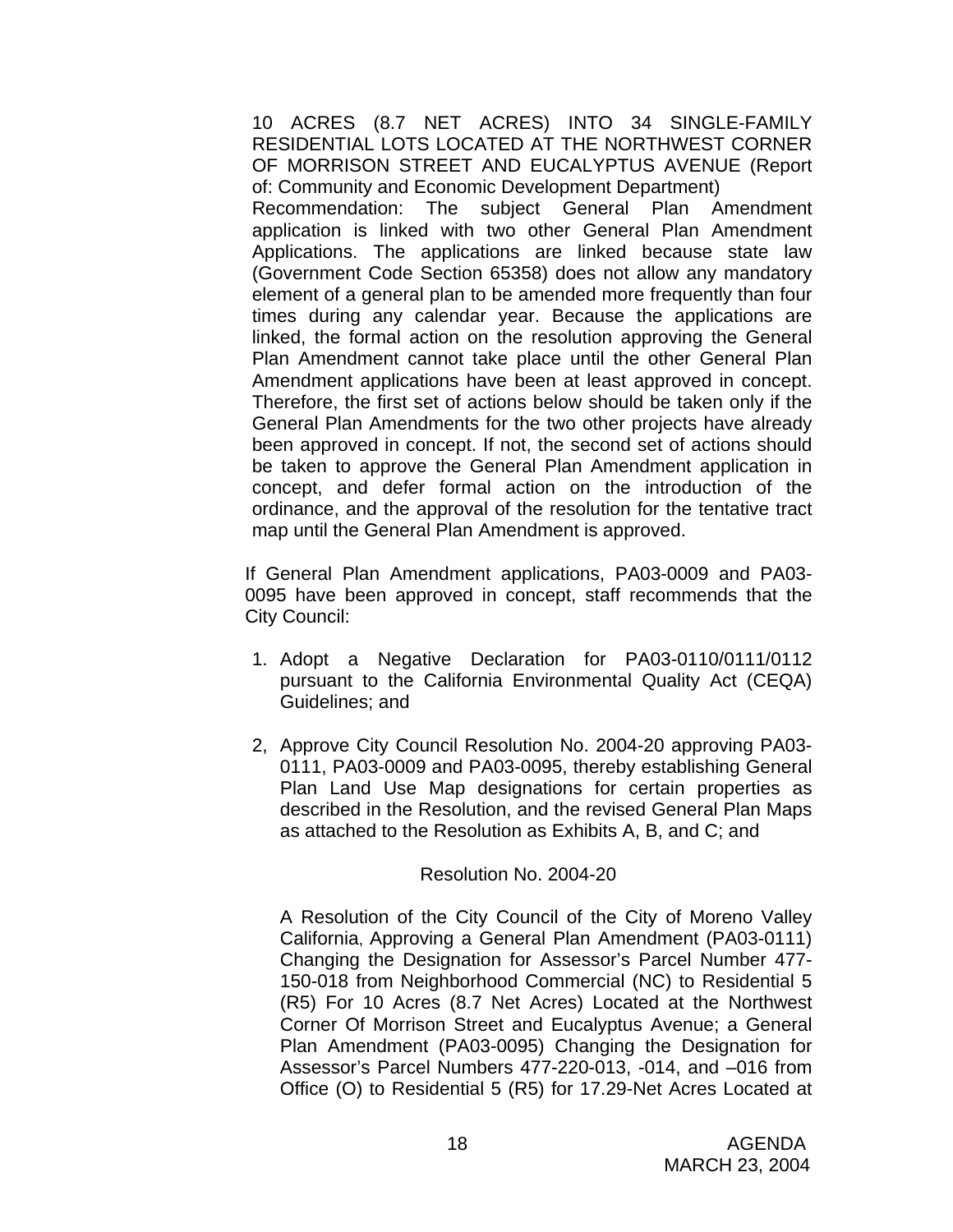10 ACRES (8.7 NET ACRES) INTO 34 SINGLE-FAMILY RESIDENTIAL LOTS LOCATED AT THE NORTHWEST CORNER OF MORRISON STREET AND EUCALYPTUS AVENUE (Report of: Community and Economic Development Department) Recommendation: The subject General Plan Amendment application is linked with two other General Plan Amendment Applications. The applications are linked because state law (Government Code Section 65358) does not allow any mandatory element of a general plan to be amended more frequently than four times during any calendar year. Because the applications are linked, the formal action on the resolution approving the General Plan Amendment cannot take place until the other General Plan Amendment applications have been at least approved in concept. Therefore, the first set of actions below should be taken only if the General Plan Amendments for the two other projects have already been approved in concept. If not, the second set of actions should be taken to approve the General Plan Amendment application in concept, and defer formal action on the introduction of the ordinance, and the approval of the resolution for the tentative tract map until the General Plan Amendment is approved.

If General Plan Amendment applications, PA03-0009 and PA03- 0095 have been approved in concept, staff recommends that the City Council:

- 1. Adopt a Negative Declaration for PA03-0110/0111/0112 pursuant to the California Environmental Quality Act (CEQA) Guidelines; and
- 2, Approve City Council Resolution No. 2004-20 approving PA03- 0111, PA03-0009 and PA03-0095, thereby establishing General Plan Land Use Map designations for certain properties as described in the Resolution, and the revised General Plan Maps as attached to the Resolution as Exhibits A, B, and C; and

#### Resolution No. 2004-20

A Resolution of the City Council of the City of Moreno Valley California, Approving a General Plan Amendment (PA03-0111) Changing the Designation for Assessor's Parcel Number 477- 150-018 from Neighborhood Commercial (NC) to Residential 5 (R5) For 10 Acres (8.7 Net Acres) Located at the Northwest Corner Of Morrison Street and Eucalyptus Avenue; a General Plan Amendment (PA03-0095) Changing the Designation for Assessor's Parcel Numbers 477-220-013, -014, and –016 from Office (O) to Residential 5 (R5) for 17.29-Net Acres Located at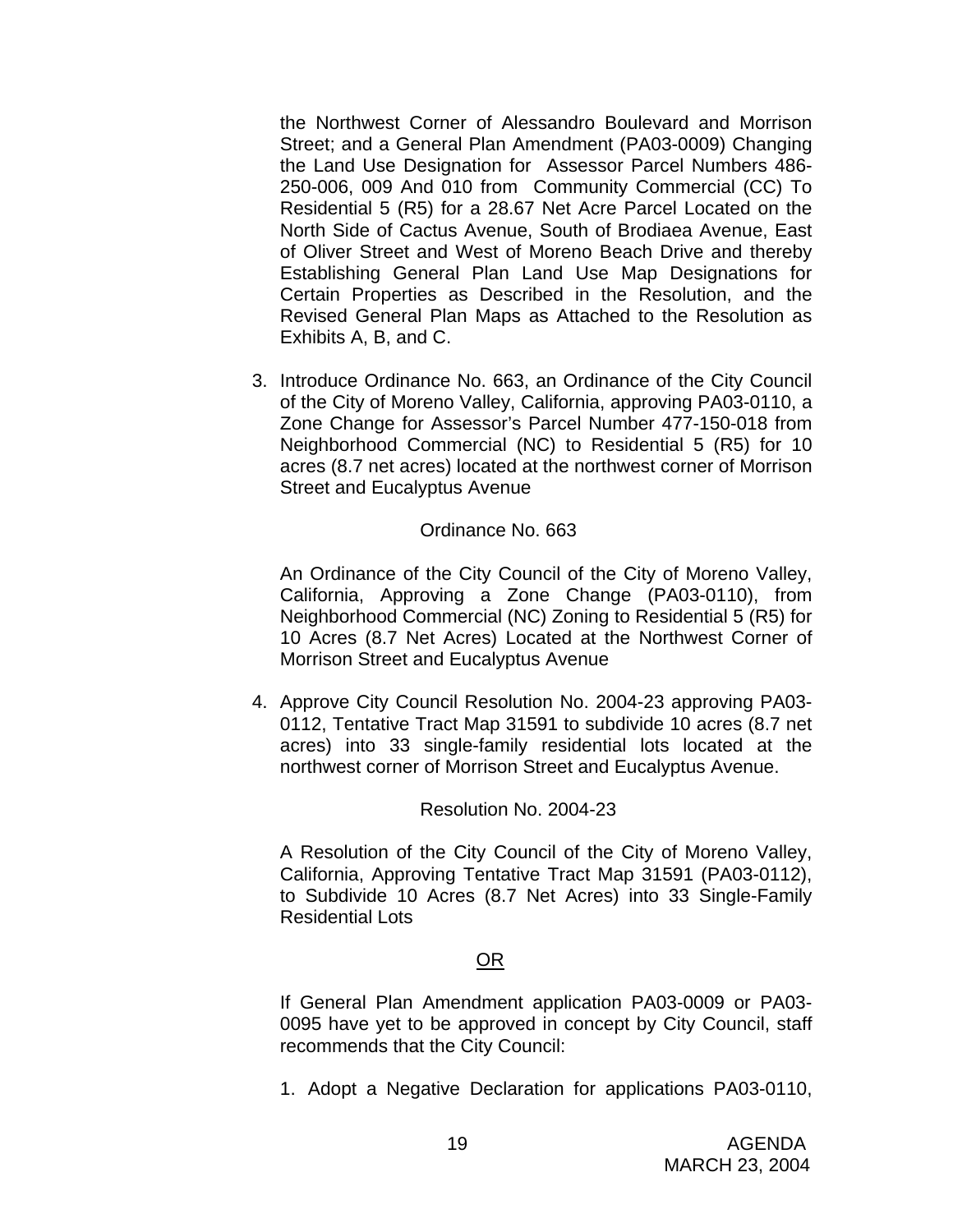the Northwest Corner of Alessandro Boulevard and Morrison Street; and a General Plan Amendment (PA03-0009) Changing the Land Use Designation for Assessor Parcel Numbers 486- 250-006, 009 And 010 from Community Commercial (CC) To Residential 5 (R5) for a 28.67 Net Acre Parcel Located on the North Side of Cactus Avenue, South of Brodiaea Avenue, East of Oliver Street and West of Moreno Beach Drive and thereby Establishing General Plan Land Use Map Designations for Certain Properties as Described in the Resolution, and the Revised General Plan Maps as Attached to the Resolution as Exhibits A, B, and C.

3. Introduce Ordinance No. 663, an Ordinance of the City Council of the City of Moreno Valley, California, approving PA03-0110, a Zone Change for Assessor's Parcel Number 477-150-018 from Neighborhood Commercial (NC) to Residential 5 (R5) for 10 acres (8.7 net acres) located at the northwest corner of Morrison Street and Eucalyptus Avenue

### Ordinance No. 663

An Ordinance of the City Council of the City of Moreno Valley, California, Approving a Zone Change (PA03-0110), from Neighborhood Commercial (NC) Zoning to Residential 5 (R5) for 10 Acres (8.7 Net Acres) Located at the Northwest Corner of Morrison Street and Eucalyptus Avenue

4. Approve City Council Resolution No. 2004-23 approving PA03- 0112, Tentative Tract Map 31591 to subdivide 10 acres (8.7 net acres) into 33 single-family residential lots located at the northwest corner of Morrison Street and Eucalyptus Avenue.

#### Resolution No. 2004-23

A Resolution of the City Council of the City of Moreno Valley, California, Approving Tentative Tract Map 31591 (PA03-0112), to Subdivide 10 Acres (8.7 Net Acres) into 33 Single-Family Residential Lots

#### <u>OR Starting and the Starting OR Starting</u>

If General Plan Amendment application PA03-0009 or PA03- 0095 have yet to be approved in concept by City Council, staff recommends that the City Council:

1. Adopt a Negative Declaration for applications PA03-0110,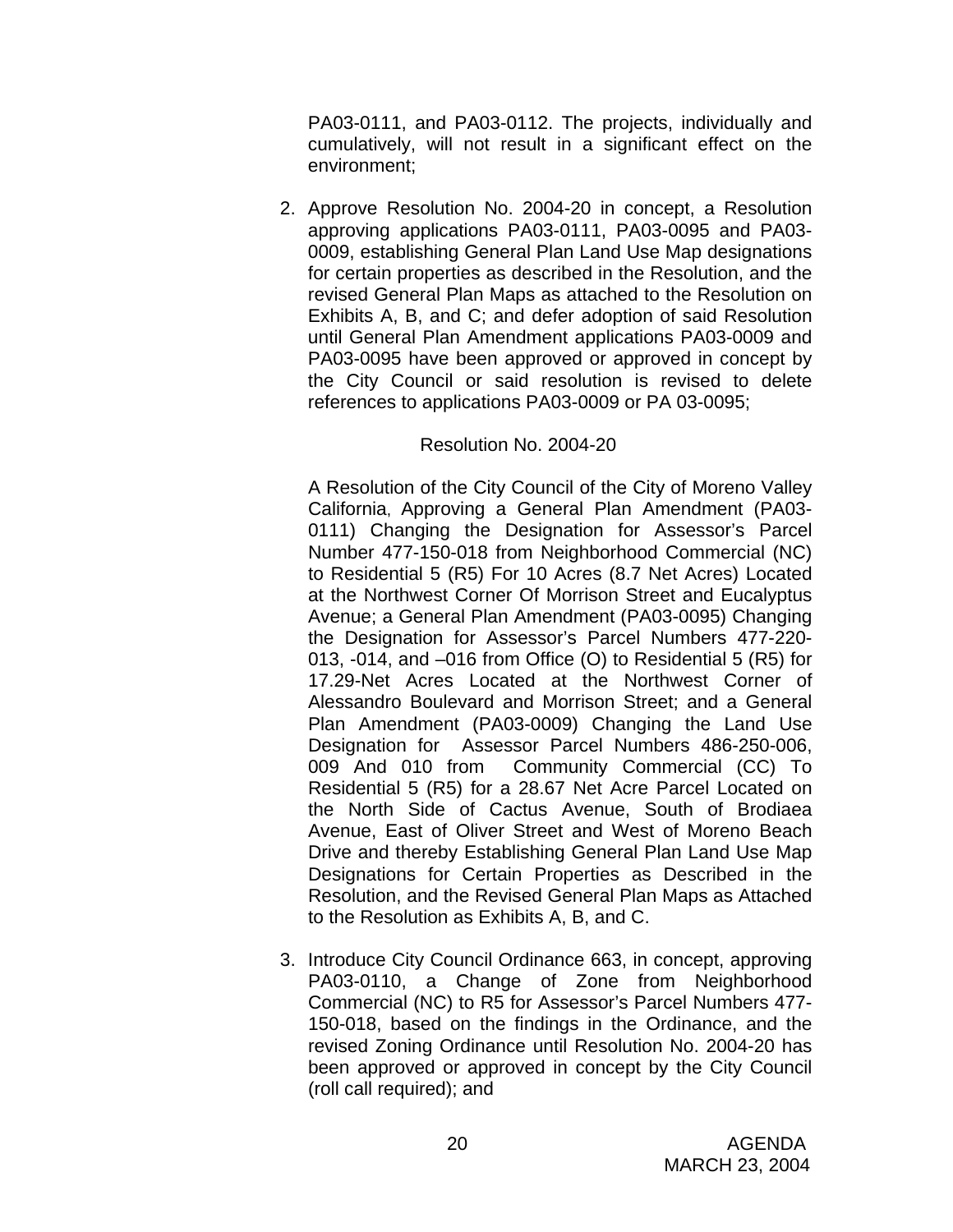PA03-0111, and PA03-0112. The projects, individually and cumulatively, will not result in a significant effect on the environment;

2. Approve Resolution No. 2004-20 in concept, a Resolution approving applications PA03-0111, PA03-0095 and PA03- 0009, establishing General Plan Land Use Map designations for certain properties as described in the Resolution, and the revised General Plan Maps as attached to the Resolution on Exhibits A, B, and C; and defer adoption of said Resolution until General Plan Amendment applications PA03-0009 and PA03-0095 have been approved or approved in concept by the City Council or said resolution is revised to delete references to applications PA03-0009 or PA 03-0095;

# Resolution No. 2004-20

A Resolution of the City Council of the City of Moreno Valley California, Approving a General Plan Amendment (PA03- 0111) Changing the Designation for Assessor's Parcel Number 477-150-018 from Neighborhood Commercial (NC) to Residential 5 (R5) For 10 Acres (8.7 Net Acres) Located at the Northwest Corner Of Morrison Street and Eucalyptus Avenue; a General Plan Amendment (PA03-0095) Changing the Designation for Assessor's Parcel Numbers 477-220- 013, -014, and –016 from Office (O) to Residential 5 (R5) for 17.29-Net Acres Located at the Northwest Corner of Alessandro Boulevard and Morrison Street; and a General Plan Amendment (PA03-0009) Changing the Land Use Designation for Assessor Parcel Numbers 486-250-006, 009 And 010 from Community Commercial (CC) To Residential 5 (R5) for a 28.67 Net Acre Parcel Located on the North Side of Cactus Avenue, South of Brodiaea Avenue, East of Oliver Street and West of Moreno Beach Drive and thereby Establishing General Plan Land Use Map Designations for Certain Properties as Described in the Resolution, and the Revised General Plan Maps as Attached to the Resolution as Exhibits A, B, and C.

3. Introduce City Council Ordinance 663, in concept, approving PA03-0110, a Change of Zone from Neighborhood Commercial (NC) to R5 for Assessor's Parcel Numbers 477- 150-018, based on the findings in the Ordinance, and the revised Zoning Ordinance until Resolution No. 2004-20 has been approved or approved in concept by the City Council (roll call required); and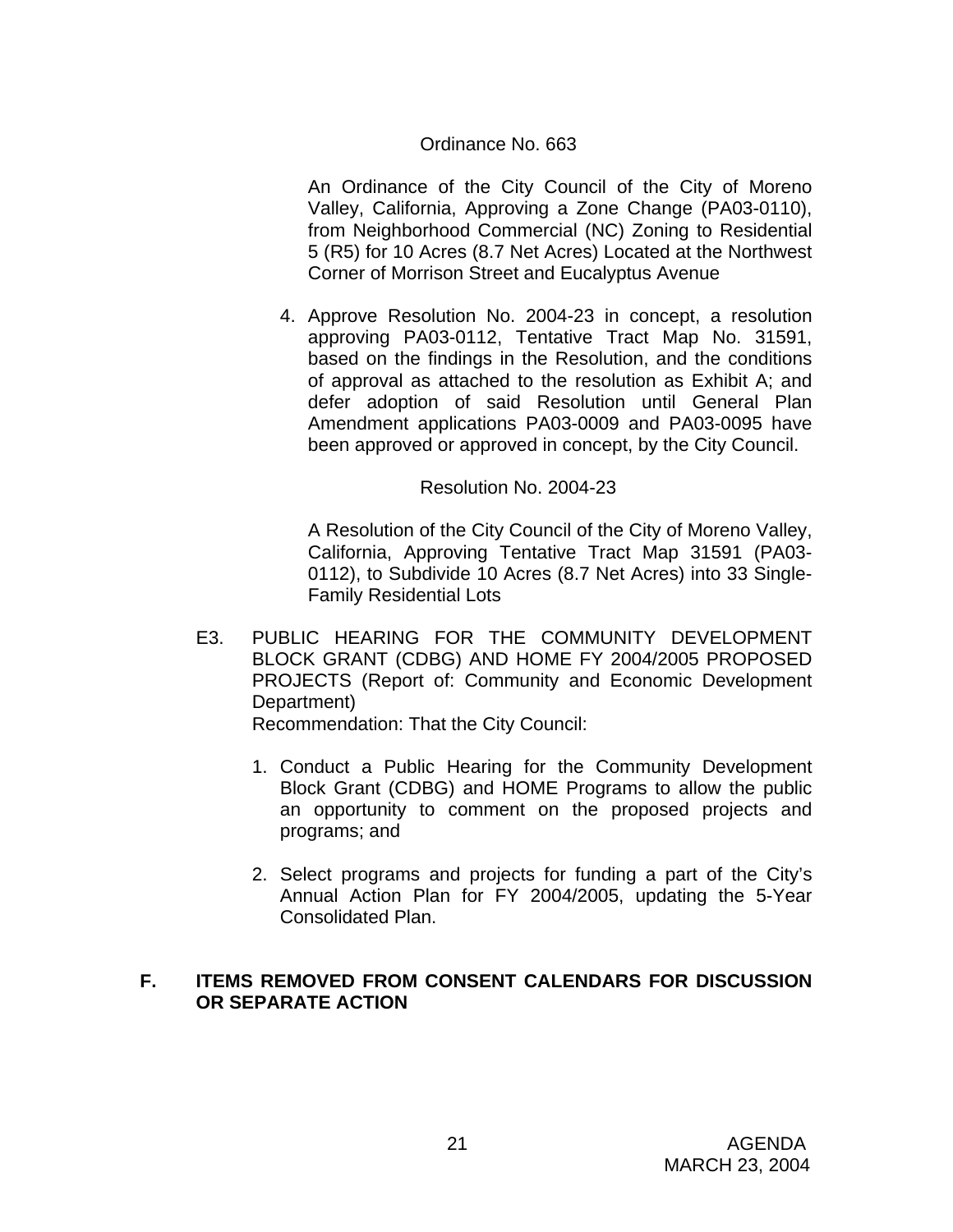## Ordinance No. 663

An Ordinance of the City Council of the City of Moreno Valley, California, Approving a Zone Change (PA03-0110), from Neighborhood Commercial (NC) Zoning to Residential 5 (R5) for 10 Acres (8.7 Net Acres) Located at the Northwest Corner of Morrison Street and Eucalyptus Avenue

4. Approve Resolution No. 2004-23 in concept, a resolution approving PA03-0112, Tentative Tract Map No. 31591, based on the findings in the Resolution, and the conditions of approval as attached to the resolution as Exhibit A; and defer adoption of said Resolution until General Plan Amendment applications PA03-0009 and PA03-0095 have been approved or approved in concept, by the City Council.

#### Resolution No. 2004-23

A Resolution of the City Council of the City of Moreno Valley, California, Approving Tentative Tract Map 31591 (PA03- 0112), to Subdivide 10 Acres (8.7 Net Acres) into 33 Single-Family Residential Lots

- E3. PUBLIC HEARING FOR THE COMMUNITY DEVELOPMENT BLOCK GRANT (CDBG) AND HOME FY 2004/2005 PROPOSED PROJECTS (Report of: Community and Economic Development Department) Recommendation: That the City Council:
	- 1. Conduct a Public Hearing for the Community Development Block Grant (CDBG) and HOME Programs to allow the public an opportunity to comment on the proposed projects and programs; and
	- 2. Select programs and projects for funding a part of the City's Annual Action Plan for FY 2004/2005, updating the 5-Year Consolidated Plan.

### **F. ITEMS REMOVED FROM CONSENT CALENDARS FOR DISCUSSION OR SEPARATE ACTION**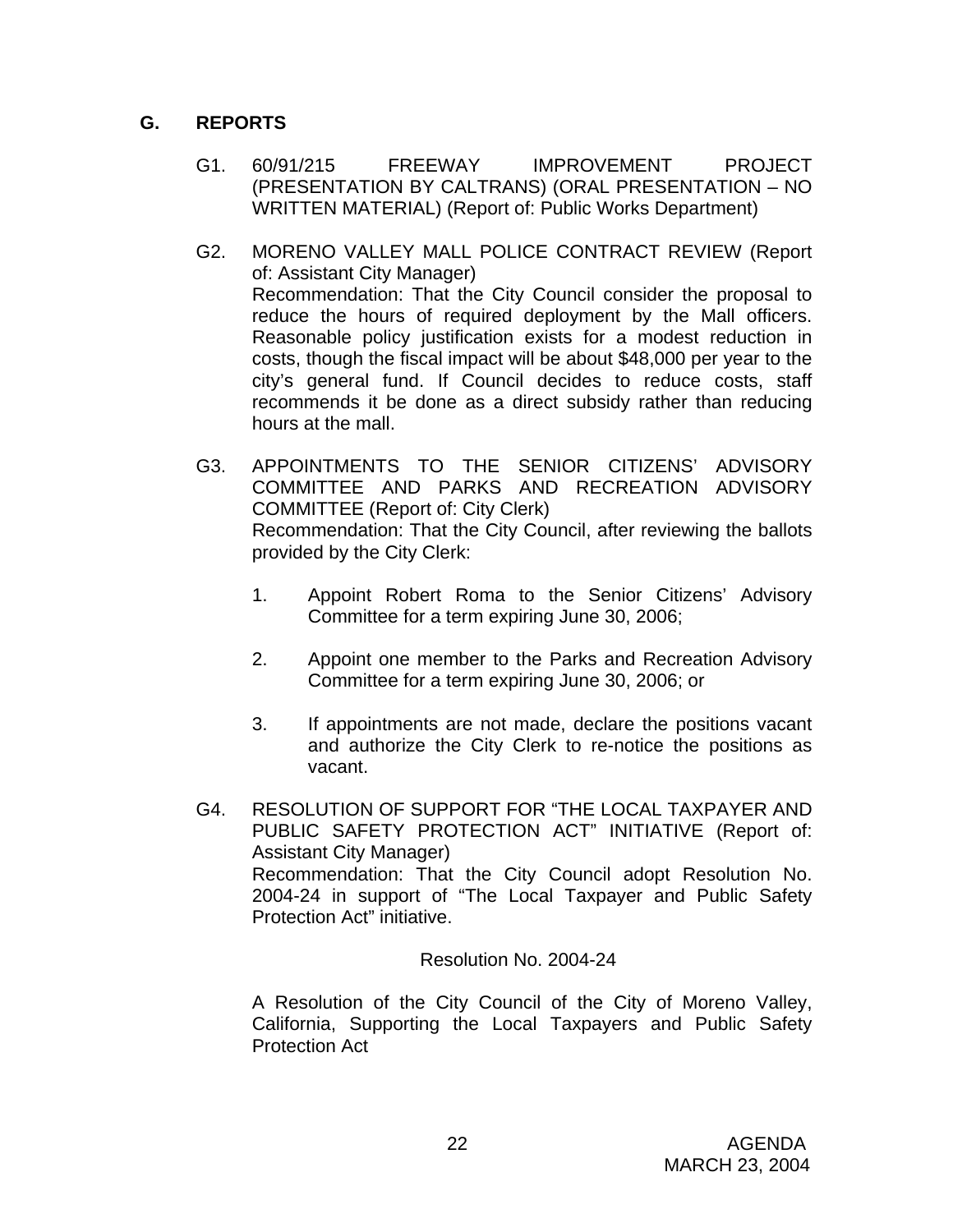# **G. REPORTS**

- G1. 60/91/215 FREEWAY IMPROVEMENT PROJECT (PRESENTATION BY CALTRANS) (ORAL PRESENTATION – NO WRITTEN MATERIAL) (Report of: Public Works Department)
- G2. MORENO VALLEY MALL POLICE CONTRACT REVIEW (Report of: Assistant City Manager) Recommendation: That the City Council consider the proposal to reduce the hours of required deployment by the Mall officers. Reasonable policy justification exists for a modest reduction in costs, though the fiscal impact will be about \$48,000 per year to the city's general fund. If Council decides to reduce costs, staff recommends it be done as a direct subsidy rather than reducing hours at the mall.
- G3. APPOINTMENTS TO THE SENIOR CITIZENS' ADVISORY COMMITTEE AND PARKS AND RECREATION ADVISORY COMMITTEE (Report of: City Clerk) Recommendation: That the City Council, after reviewing the ballots provided by the City Clerk:
	- 1. Appoint Robert Roma to the Senior Citizens' Advisory Committee for a term expiring June 30, 2006;
	- 2. Appoint one member to the Parks and Recreation Advisory Committee for a term expiring June 30, 2006; or
	- 3. If appointments are not made, declare the positions vacant and authorize the City Clerk to re-notice the positions as vacant.
- G4. RESOLUTION OF SUPPORT FOR "THE LOCAL TAXPAYER AND PUBLIC SAFETY PROTECTION ACT" INITIATIVE (Report of: Assistant City Manager) Recommendation: That the City Council adopt Resolution No. 2004-24 in support of "The Local Taxpayer and Public Safety Protection Act" initiative.

Resolution No. 2004-24

A Resolution of the City Council of the City of Moreno Valley, California, Supporting the Local Taxpayers and Public Safety Protection Act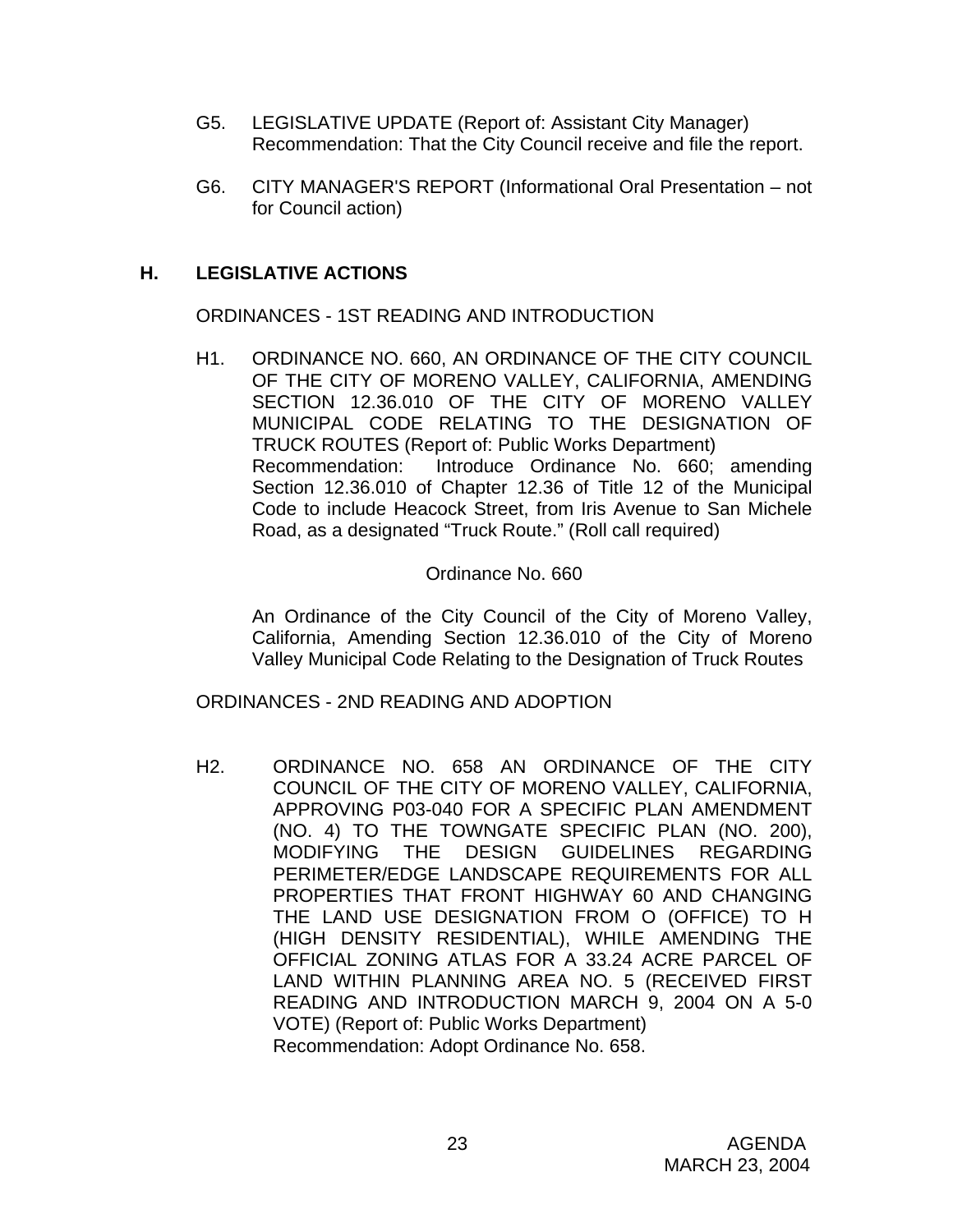- G5. LEGISLATIVE UPDATE (Report of: Assistant City Manager) Recommendation: That the City Council receive and file the report.
- G6. CITY MANAGER'S REPORT (Informational Oral Presentation not for Council action)

# **H. LEGISLATIVE ACTIONS**

ORDINANCES - 1ST READING AND INTRODUCTION

H1. ORDINANCE NO. 660, AN ORDINANCE OF THE CITY COUNCIL OF THE CITY OF MORENO VALLEY, CALIFORNIA, AMENDING SECTION 12.36.010 OF THE CITY OF MORENO VALLEY MUNICIPAL CODE RELATING TO THE DESIGNATION OF TRUCK ROUTES (Report of: Public Works Department) Recommendation: Introduce Ordinance No. 660; amending Section 12.36.010 of Chapter 12.36 of Title 12 of the Municipal Code to include Heacock Street, from Iris Avenue to San Michele Road, as a designated "Truck Route." (Roll call required)

# Ordinance No. 660

An Ordinance of the City Council of the City of Moreno Valley, California, Amending Section 12.36.010 of the City of Moreno Valley Municipal Code Relating to the Designation of Truck Routes

ORDINANCES - 2ND READING AND ADOPTION

H2. ORDINANCE NO. 658 AN ORDINANCE OF THE CITY COUNCIL OF THE CITY OF MORENO VALLEY, CALIFORNIA, APPROVING P03-040 FOR A SPECIFIC PLAN AMENDMENT (NO. 4) TO THE TOWNGATE SPECIFIC PLAN (NO. 200), MODIFYING THE DESIGN GUIDELINES REGARDING PERIMETER/EDGE LANDSCAPE REQUIREMENTS FOR ALL PROPERTIES THAT FRONT HIGHWAY 60 AND CHANGING THE LAND USE DESIGNATION FROM O (OFFICE) TO H (HIGH DENSITY RESIDENTIAL), WHILE AMENDING THE OFFICIAL ZONING ATLAS FOR A 33.24 ACRE PARCEL OF LAND WITHIN PLANNING AREA NO. 5 (RECEIVED FIRST READING AND INTRODUCTION MARCH 9, 2004 ON A 5-0 VOTE) (Report of: Public Works Department) Recommendation: Adopt Ordinance No. 658.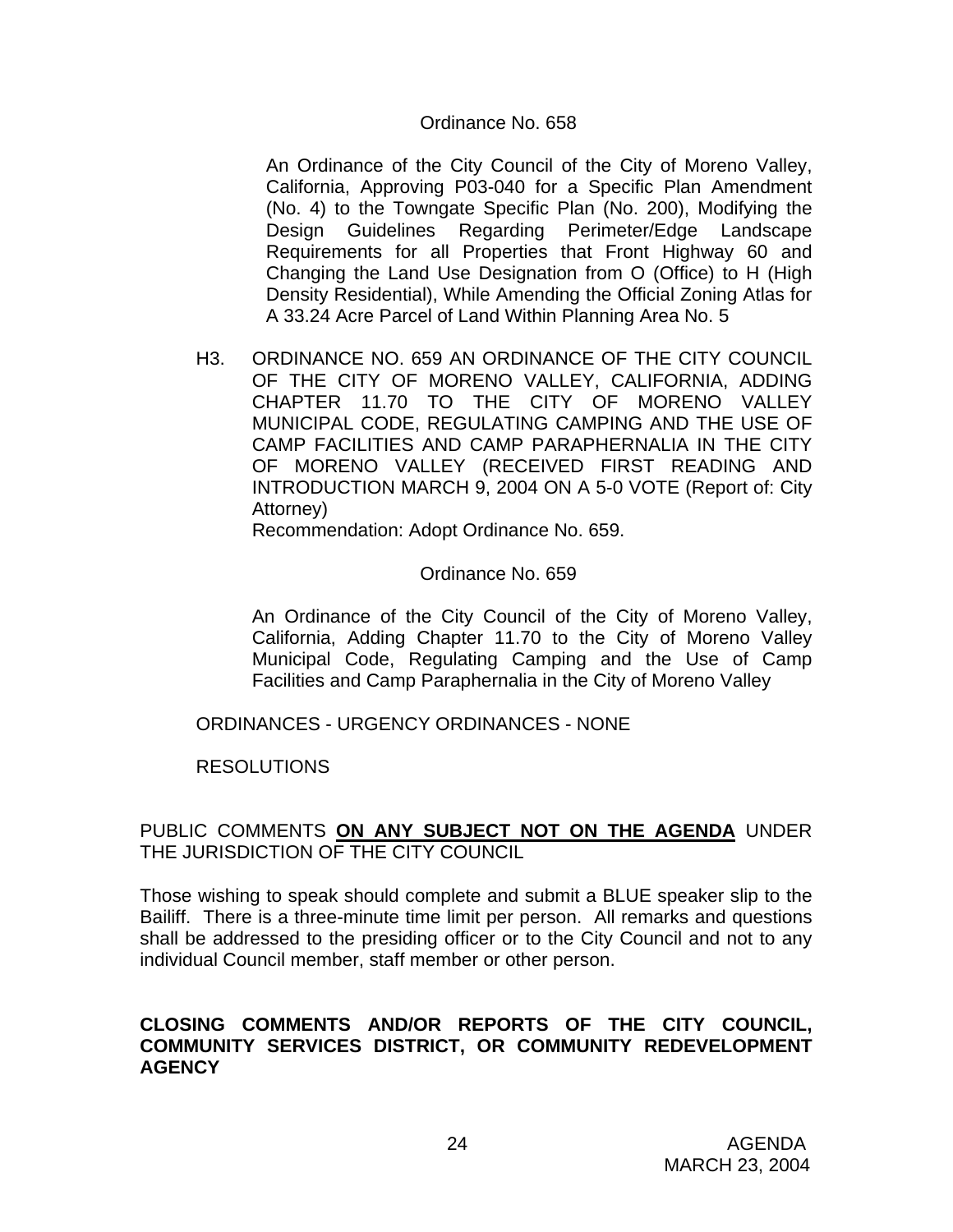#### Ordinance No. 658

An Ordinance of the City Council of the City of Moreno Valley, California, Approving P03-040 for a Specific Plan Amendment (No. 4) to the Towngate Specific Plan (No. 200), Modifying the Design Guidelines Regarding Perimeter/Edge Landscape Requirements for all Properties that Front Highway 60 and Changing the Land Use Designation from O (Office) to H (High Density Residential), While Amending the Official Zoning Atlas for A 33.24 Acre Parcel of Land Within Planning Area No. 5

H3. ORDINANCE NO. 659 AN ORDINANCE OF THE CITY COUNCIL OF THE CITY OF MORENO VALLEY, CALIFORNIA, ADDING CHAPTER 11.70 TO THE CITY OF MORENO VALLEY MUNICIPAL CODE, REGULATING CAMPING AND THE USE OF CAMP FACILITIES AND CAMP PARAPHERNALIA IN THE CITY OF MORENO VALLEY (RECEIVED FIRST READING AND INTRODUCTION MARCH 9, 2004 ON A 5-0 VOTE (Report of: City Attorney)

Recommendation: Adopt Ordinance No. 659.

#### Ordinance No. 659

An Ordinance of the City Council of the City of Moreno Valley, California, Adding Chapter 11.70 to the City of Moreno Valley Municipal Code, Regulating Camping and the Use of Camp Facilities and Camp Paraphernalia in the City of Moreno Valley

ORDINANCES - URGENCY ORDINANCES - NONE

RESOLUTIONS

### PUBLIC COMMENTS **ON ANY SUBJECT NOT ON THE AGENDA** UNDER THE JURISDICTION OF THE CITY COUNCIL

Those wishing to speak should complete and submit a BLUE speaker slip to the Bailiff. There is a three-minute time limit per person. All remarks and questions shall be addressed to the presiding officer or to the City Council and not to any individual Council member, staff member or other person.

#### **CLOSING COMMENTS AND/OR REPORTS OF THE CITY COUNCIL, COMMUNITY SERVICES DISTRICT, OR COMMUNITY REDEVELOPMENT AGENCY**